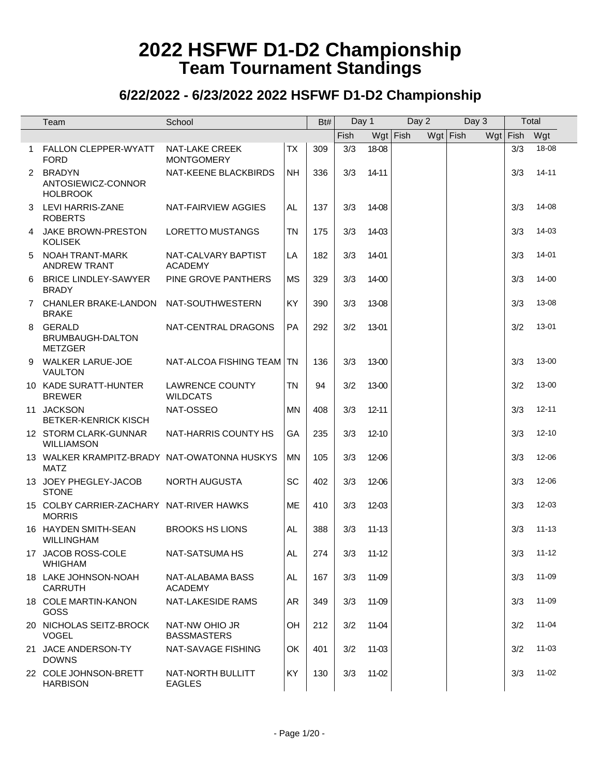|   | Team                                                        | School                                    |           | Bt# | Day 1 |           | $\overline{Day}$ 2 | Day 3      |     | Total |           |
|---|-------------------------------------------------------------|-------------------------------------------|-----------|-----|-------|-----------|--------------------|------------|-----|-------|-----------|
|   |                                                             |                                           |           |     | Fish  |           | $Wgt$ Fish         | $Wgt$ Fish | Wgt | Fish  | Wgt       |
| 1 | FALLON CLEPPER-WYATT<br><b>FORD</b>                         | NAT-LAKE CREEK<br><b>MONTGOMERY</b>       | <b>TX</b> | 309 | 3/3   | 18-08     |                    |            |     | 3/3   | 18-08     |
|   | 2 BRADYN<br>ANTOSIEWICZ-CONNOR<br><b>HOLBROOK</b>           | NAT-KEENE BLACKBIRDS                      | <b>NH</b> | 336 | 3/3   | 14-11     |                    |            |     | 3/3   | $14 - 11$ |
| 3 | LEVI HARRIS-ZANE<br><b>ROBERTS</b>                          | NAT-FAIRVIEW AGGIES                       | AL.       | 137 | 3/3   | 14-08     |                    |            |     | 3/3   | 14-08     |
| 4 | JAKE BROWN-PRESTON<br><b>KOLISEK</b>                        | <b>LORETTO MUSTANGS</b>                   | <b>TN</b> | 175 | 3/3   | 14-03     |                    |            |     | 3/3   | 14-03     |
| 5 | NOAH TRANT-MARK<br><b>ANDREW TRANT</b>                      | NAT-CALVARY BAPTIST<br><b>ACADEMY</b>     | LA        | 182 | 3/3   | 14-01     |                    |            |     | 3/3   | 14-01     |
| 6 | <b>BRICE LINDLEY-SAWYER</b><br><b>BRADY</b>                 | PINE GROVE PANTHERS                       | <b>MS</b> | 329 | 3/3   | 14-00     |                    |            |     | 3/3   | 14-00     |
|   | 7 CHANLER BRAKE-LANDON<br><b>BRAKE</b>                      | NAT-SOUTHWESTERN                          | KY        | 390 | 3/3   | 13-08     |                    |            |     | 3/3   | 13-08     |
|   | 8 GERALD<br>BRUMBAUGH-DALTON<br><b>METZGER</b>              | NAT-CENTRAL DRAGONS                       | <b>PA</b> | 292 | 3/2   | 13-01     |                    |            |     | 3/2   | 13-01     |
| 9 | <b>WALKER LARUE-JOE</b><br><b>VAULTON</b>                   | NAT-ALCOA FISHING TEAM                    | TN        | 136 | 3/3   | 13-00     |                    |            |     | 3/3   | 13-00     |
|   | 10 KADE SURATT-HUNTER<br><b>BREWER</b>                      | <b>LAWRENCE COUNTY</b><br><b>WILDCATS</b> | <b>TN</b> | 94  | 3/2   | 13-00     |                    |            |     | 3/2   | 13-00     |
|   | 11 JACKSON<br><b>BETKER-KENRICK KISCH</b>                   | NAT-OSSEO                                 | <b>MN</b> | 408 | 3/3   | $12 - 11$ |                    |            |     | 3/3   | $12 - 11$ |
|   | 12 STORM CLARK-GUNNAR<br>WILLIAMSON                         | NAT-HARRIS COUNTY HS                      | GA        | 235 | 3/3   | $12 - 10$ |                    |            |     | 3/3   | $12 - 10$ |
|   | 13 WALKER KRAMPITZ-BRADY NAT-OWATONNA HUSKYS<br><b>MATZ</b> |                                           | <b>MN</b> | 105 | 3/3   | 12-06     |                    |            |     | 3/3   | 12-06     |
|   | 13 JOEY PHEGLEY-JACOB<br><b>STONE</b>                       | NORTH AUGUSTA                             | SC        | 402 | 3/3   | 12-06     |                    |            |     | 3/3   | 12-06     |
|   | 15 COLBY CARRIER-ZACHARY NAT-RIVER HAWKS<br><b>MORRIS</b>   |                                           | <b>ME</b> | 410 | 3/3   | 12-03     |                    |            |     | 3/3   | $12 - 03$ |
|   | 16 HAYDEN SMITH-SEAN<br><b>WILLINGHAM</b>                   | <b>BROOKS HS LIONS</b>                    | AL        | 388 | 3/3   | $11 - 13$ |                    |            |     | 3/3   | $11 - 13$ |
|   | 17 JACOB ROSS-COLE<br><b>WHIGHAM</b>                        | NAT-SATSUMA HS                            | <b>AL</b> | 274 | 3/3   | $11 - 12$ |                    |            |     | 3/3   | $11 - 12$ |
|   | 18 LAKE JOHNSON-NOAH<br><b>CARRUTH</b>                      | NAT-ALABAMA BASS<br><b>ACADEMY</b>        | AL.       | 167 | 3/3   | 11-09     |                    |            |     | 3/3   | 11-09     |
|   | 18 COLE MARTIN-KANON<br>GOSS                                | NAT-LAKESIDE RAMS                         | AR        | 349 | 3/3   | 11-09     |                    |            |     | 3/3   | 11-09     |
|   | 20 NICHOLAS SEITZ-BROCK<br><b>VOGEL</b>                     | NAT-NW OHIO JR<br><b>BASSMASTERS</b>      | OH        | 212 | 3/2   | 11-04     |                    |            |     | 3/2   | $11 - 04$ |
|   | 21 JACE ANDERSON-TY<br><b>DOWNS</b>                         | NAT-SAVAGE FISHING                        | OK        | 401 | 3/2   | 11-03     |                    |            |     | 3/2   | $11 - 03$ |
|   | 22 COLE JOHNSON-BRETT<br><b>HARBISON</b>                    | NAT-NORTH BULLITT<br><b>EAGLES</b>        | KY        | 130 | 3/3   | 11-02     |                    |            |     | 3/3   | $11-02$   |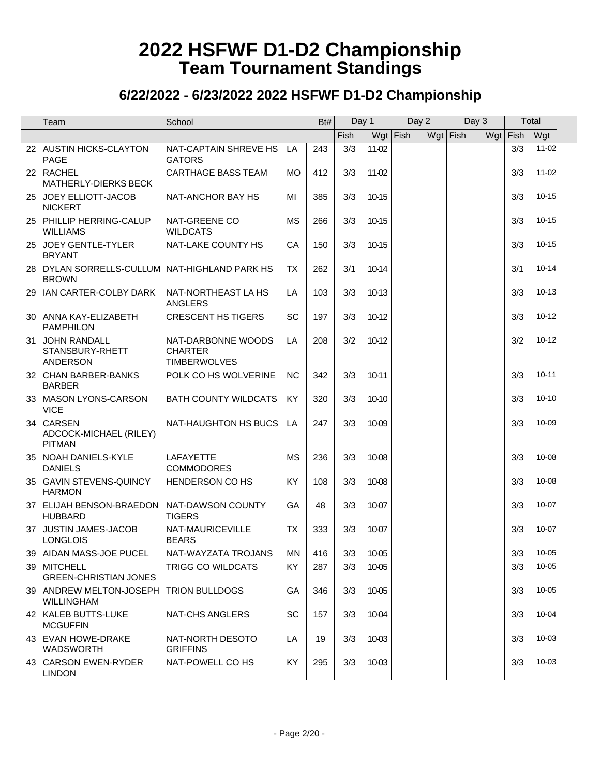| Team                                                          | School                                                      |           | Bt# | Day 1 |           | Day 2      | Day 3      | Total      |           |
|---------------------------------------------------------------|-------------------------------------------------------------|-----------|-----|-------|-----------|------------|------------|------------|-----------|
|                                                               |                                                             |           |     | Fish  |           | $Wgt$ Fish | $Wgt$ Fish | $Wgt$ Fish | Wgt       |
| 22 AUSTIN HICKS-CLAYTON<br><b>PAGE</b>                        | NAT-CAPTAIN SHREVE HS<br><b>GATORS</b>                      | LA        | 243 | 3/3   | 11-02     |            |            | 3/3        | $11 - 02$ |
| 22 RACHEL<br><b>MATHERLY-DIERKS BECK</b>                      | <b>CARTHAGE BASS TEAM</b>                                   | <b>MO</b> | 412 | 3/3   | $11-02$   |            |            | 3/3        | $11 - 02$ |
| 25 JOEY ELLIOTT-JACOB<br><b>NICKERT</b>                       | NAT-ANCHOR BAY HS                                           | MI        | 385 | 3/3   | 10-15     |            |            | 3/3        | $10 - 15$ |
| 25 PHILLIP HERRING-CALUP<br><b>WILLIAMS</b>                   | NAT-GREENE CO<br><b>WILDCATS</b>                            | <b>MS</b> | 266 | 3/3   | 10-15     |            |            | 3/3        | $10 - 15$ |
| 25 JOEY GENTLE-TYLER<br><b>BRYANT</b>                         | NAT-LAKE COUNTY HS                                          | CA        | 150 | 3/3   | 10-15     |            |            | 3/3        | $10 - 15$ |
| 28 DYLAN SORRELLS-CULLUM NAT-HIGHLAND PARK HS<br><b>BROWN</b> |                                                             | <b>TX</b> | 262 | 3/1   | $10-14$   |            |            | 3/1        | $10 - 14$ |
| 29 IAN CARTER-COLBY DARK                                      | NAT-NORTHEAST LA HS<br>ANGLERS                              | LA        | 103 | 3/3   | 10-13     |            |            | 3/3        | $10 - 13$ |
| 30 ANNA KAY-ELIZABETH<br><b>PAMPHILON</b>                     | <b>CRESCENT HS TIGERS</b>                                   | SC        | 197 | 3/3   | 10-12     |            |            | 3/3        | $10 - 12$ |
| 31 JOHN RANDALL<br>STANSBURY-RHETT<br><b>ANDERSON</b>         | NAT-DARBONNE WOODS<br><b>CHARTER</b><br><b>TIMBERWOLVES</b> | LA        | 208 | 3/2   | 10-12     |            |            | 3/2        | $10 - 12$ |
| 32 CHAN BARBER-BANKS<br><b>BARBER</b>                         | POLK CO HS WOLVERINE                                        | <b>NC</b> | 342 | 3/3   | $10 - 11$ |            |            | 3/3        | $10 - 11$ |
| 33 MASON LYONS-CARSON<br><b>VICE</b>                          | <b>BATH COUNTY WILDCATS</b>                                 | KY        | 320 | 3/3   | 10-10     |            |            | 3/3        | $10 - 10$ |
| 34 CARSEN<br>ADCOCK-MICHAEL (RILEY)<br><b>PITMAN</b>          | NAT-HAUGHTON HS BUCS                                        | LA        | 247 | 3/3   | 10-09     |            |            | 3/3        | 10-09     |
| 35 NOAH DANIELS-KYLE<br><b>DANIELS</b>                        | <b>LAFAYETTE</b><br><b>COMMODORES</b>                       | <b>MS</b> | 236 | 3/3   | 10-08     |            |            | 3/3        | 10-08     |
| 35 GAVIN STEVENS-QUINCY<br><b>HARMON</b>                      | HENDERSON CO HS                                             | KY        | 108 | 3/3   | 10-08     |            |            | 3/3        | 10-08     |
| 37 ELIJAH BENSON-BRAEDON NAT-DAWSON COUNTY<br><b>HUBBARD</b>  | <b>TIGERS</b>                                               | GA        | 48  | 3/3   | 10-07     |            |            | 3/3        | $10 - 07$ |
| 37 JUSTIN JAMES-JACOB<br><b>LONGLOIS</b>                      | NAT-MAURICEVILLE<br><b>BEARS</b>                            | <b>TX</b> | 333 | 3/3   | 10-07     |            |            | 3/3        | $10 - 07$ |
| 39 AIDAN MASS-JOE PUCEL                                       | NAT-WAYZATA TROJANS                                         | <b>MN</b> | 416 | 3/3   | 10-05     |            |            | 3/3        | 10-05     |
| 39 MITCHELL<br><b>GREEN-CHRISTIAN JONES</b>                   | TRIGG CO WILDCATS                                           | <b>KY</b> | 287 | 3/3   | 10-05     |            |            | 3/3        | $10 - 05$ |
| 39 ANDREW MELTON-JOSEPH TRION BULLDOGS<br><b>WILLINGHAM</b>   |                                                             | GA        | 346 | 3/3   | 10-05     |            |            | 3/3        | $10 - 05$ |
| 42 KALEB BUTTS-LUKE<br><b>MCGUFFIN</b>                        | NAT-CHS ANGLERS                                             | SC        | 157 | 3/3   | 10-04     |            |            | 3/3        | 10-04     |
| 43 EVAN HOWE-DRAKE<br><b>WADSWORTH</b>                        | NAT-NORTH DESOTO<br><b>GRIFFINS</b>                         | LA        | 19  | 3/3   | 10-03     |            |            | 3/3        | 10-03     |
| 43 CARSON EWEN-RYDER<br><b>LINDON</b>                         | NAT-POWELL CO HS                                            | KY.       | 295 | 3/3   | 10-03     |            |            | 3/3        | 10-03     |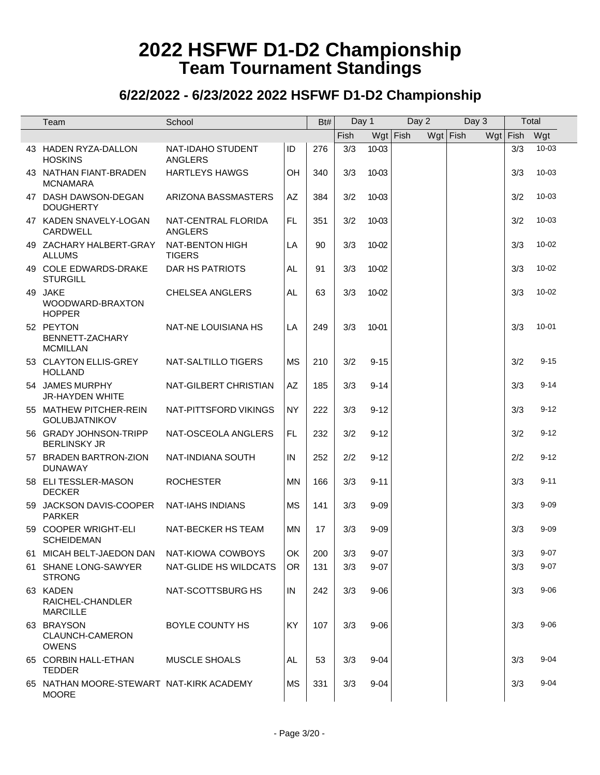| Team                                                     | School                           |           | Bt# | Day 1 |          | Day 2      | Day $3$    |            | Total     |
|----------------------------------------------------------|----------------------------------|-----------|-----|-------|----------|------------|------------|------------|-----------|
|                                                          |                                  |           |     | Fish  |          | $Wgt$ Fish | $Wgt$ Fish | $Wgt$ Fish | Wgt       |
| 43 HADEN RYZA-DALLON<br><b>HOSKINS</b>                   | NAT-IDAHO STUDENT<br>ANGLERS     | ID        | 276 | 3/3   | 10-03    |            |            | 3/3        | $10 - 03$ |
| 43 NATHAN FIANT-BRADEN<br><b>MCNAMARA</b>                | <b>HARTLEYS HAWGS</b>            | OH        | 340 | 3/3   | 10-03    |            |            | 3/3        | 10-03     |
| 47 DASH DAWSON-DEGAN<br><b>DOUGHERTY</b>                 | ARIZONA BASSMASTERS              | AZ        | 384 | 3/2   | 10-03    |            |            | 3/2        | $10 - 03$ |
| 47 KADEN SNAVELY-LOGAN<br>CARDWELL                       | NAT-CENTRAL FLORIDA<br>ANGLERS   | FL.       | 351 | 3/2   | 10-03    |            |            | 3/2        | $10 - 03$ |
| 49 ZACHARY HALBERT-GRAY<br><b>ALLUMS</b>                 | NAT-BENTON HIGH<br><b>TIGERS</b> | LA        | 90  | 3/3   | 10-02    |            |            | 3/3        | $10 - 02$ |
| 49 COLE EDWARDS-DRAKE<br><b>STURGILL</b>                 | DAR HS PATRIOTS                  | <b>AL</b> | 91  | 3/3   | 10-02    |            |            | 3/3        | $10 - 02$ |
| 49 JAKE<br>WOODWARD-BRAXTON<br><b>HOPPER</b>             | <b>CHELSEA ANGLERS</b>           | AL.       | 63  | 3/3   | 10-02    |            |            | 3/3        | $10 - 02$ |
| 52 PEYTON<br>BENNETT-ZACHARY<br><b>MCMILLAN</b>          | NAT-NE LOUISIANA HS              | LA        | 249 | 3/3   | 10-01    |            |            | 3/3        | $10 - 01$ |
| 53 CLAYTON ELLIS-GREY<br><b>HOLLAND</b>                  | NAT-SALTILLO TIGERS              | <b>MS</b> | 210 | 3/2   | $9 - 15$ |            |            | 3/2        | $9 - 15$  |
| 54 JAMES MURPHY<br><b>JR-HAYDEN WHITE</b>                | NAT-GILBERT CHRISTIAN            | AZ        | 185 | 3/3   | $9 - 14$ |            |            | 3/3        | $9 - 14$  |
| 55 MATHEW PITCHER-REIN<br><b>GOLUBJATNIKOV</b>           | NAT-PITTSFORD VIKINGS            | <b>NY</b> | 222 | 3/3   | $9 - 12$ |            |            | 3/3        | $9 - 12$  |
| 56 GRADY JOHNSON-TRIPP<br><b>BERLINSKY JR</b>            | NAT-OSCEOLA ANGLERS              | FL.       | 232 | 3/2   | $9 - 12$ |            |            | 3/2        | $9 - 12$  |
| 57 BRADEN BARTRON-ZION<br><b>DUNAWAY</b>                 | NAT-INDIANA SOUTH                | IN        | 252 | 2/2   | $9 - 12$ |            |            | 2/2        | $9 - 12$  |
| 58 ELI TESSLER-MASON<br><b>DECKER</b>                    | <b>ROCHESTER</b>                 | MN        | 166 | 3/3   | $9 - 11$ |            |            | 3/3        | $9 - 11$  |
| 59 JACKSON DAVIS-COOPER<br><b>PARKER</b>                 | <b>NAT-IAHS INDIANS</b>          | <b>MS</b> | 141 | 3/3   | $9 - 09$ |            |            | 3/3        | $9 - 09$  |
| 59 COOPER WRIGHT-ELI<br><b>SCHEIDEMAN</b>                | NAT-BECKER HS TEAM               | <b>MN</b> | 17  | 3/3   | $9 - 09$ |            |            | 3/3        | $9 - 09$  |
| 61 MICAH BELT-JAEDON DAN                                 | NAT-KIOWA COWBOYS                | OK        | 200 | 3/3   | 9-07     |            |            | 3/3        | $9 - 07$  |
| 61 SHANE LONG-SAWYER<br><b>STRONG</b>                    | NAT-GLIDE HS WILDCATS            | OR.       | 131 | 3/3   | $9 - 07$ |            |            | 3/3        | $9 - 07$  |
| 63 KADEN<br>RAICHEL-CHANDLER<br><b>MARCILLE</b>          | NAT-SCOTTSBURG HS                | IN        | 242 | 3/3   | $9 - 06$ |            |            | 3/3        | $9 - 06$  |
| 63 BRAYSON<br>CLAUNCH-CAMERON<br><b>OWENS</b>            | BOYLE COUNTY HS                  | KY.       | 107 | 3/3   | $9 - 06$ |            |            | 3/3        | $9 - 06$  |
| 65 CORBIN HALL-ETHAN<br><b>TEDDER</b>                    | <b>MUSCLE SHOALS</b>             | AL        | 53  | 3/3   | $9 - 04$ |            |            | 3/3        | $9 - 04$  |
| 65 NATHAN MOORE-STEWART NAT-KIRK ACADEMY<br><b>MOORE</b> |                                  | <b>MS</b> | 331 | 3/3   | $9 - 04$ |            |            | 3/3        | $9 - 04$  |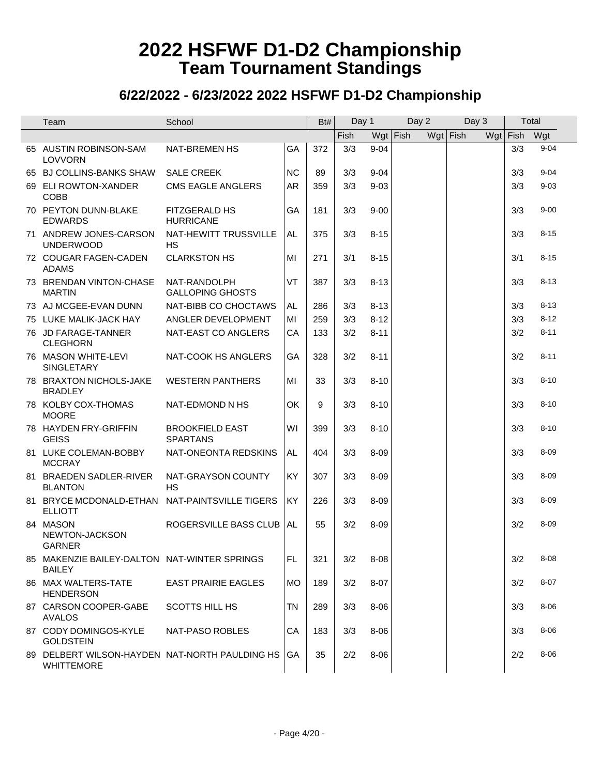| Team                                                                | School                                    |           | Bt# | Day 1 |          | $\overline{$ Day 2 | Day 3      |          | Total    |
|---------------------------------------------------------------------|-------------------------------------------|-----------|-----|-------|----------|--------------------|------------|----------|----------|
|                                                                     |                                           |           |     | Fish  |          | $Wgt$ Fish         | $Wgt$ Fish | Wgt Fish | Wgt      |
| 65 AUSTIN ROBINSON-SAM<br><b>LOVVORN</b>                            | <b>NAT-BREMEN HS</b>                      | GA        | 372 | 3/3   | $9 - 04$ |                    |            | 3/3      | $9 - 04$ |
| 65 BJ COLLINS-BANKS SHAW                                            | <b>SALE CREEK</b>                         | <b>NC</b> | 89  | 3/3   | $9 - 04$ |                    |            | 3/3      | $9 - 04$ |
| 69 ELI ROWTON-XANDER<br><b>COBB</b>                                 | <b>CMS EAGLE ANGLERS</b>                  | <b>AR</b> | 359 | 3/3   | $9 - 03$ |                    |            | 3/3      | $9 - 03$ |
| 70 PEYTON DUNN-BLAKE<br><b>EDWARDS</b>                              | FITZGERALD HS<br><b>HURRICANE</b>         | GA        | 181 | 3/3   | $9 - 00$ |                    |            | 3/3      | $9 - 00$ |
| 71 ANDREW JONES-CARSON<br><b>UNDERWOOD</b>                          | NAT-HEWITT TRUSSVILLE<br><b>HS</b>        | AL.       | 375 | 3/3   | $8 - 15$ |                    |            | 3/3      | $8 - 15$ |
| 72 COUGAR FAGEN-CADEN<br><b>ADAMS</b>                               | <b>CLARKSTON HS</b>                       | MI        | 271 | 3/1   | $8 - 15$ |                    |            | 3/1      | $8 - 15$ |
| 73 BRENDAN VINTON-CHASE<br><b>MARTIN</b>                            | NAT-RANDOLPH<br><b>GALLOPING GHOSTS</b>   | VT        | 387 | 3/3   | $8 - 13$ |                    |            | 3/3      | $8 - 13$ |
| 73 AJ MCGEE-EVAN DUNN                                               | NAT-BIBB CO CHOCTAWS                      | AL        | 286 | 3/3   | $8 - 13$ |                    |            | 3/3      | $8 - 13$ |
| 75 LUKE MALIK-JACK HAY                                              | ANGLER DEVELOPMENT                        | MI        | 259 | 3/3   | $8 - 12$ |                    |            | 3/3      | $8 - 12$ |
| 76 JD FARAGE-TANNER<br><b>CLEGHORN</b>                              | NAT-EAST CO ANGLERS                       | CA        | 133 | 3/2   | $8 - 11$ |                    |            | 3/2      | $8 - 11$ |
| 76 MASON WHITE-LEVI<br>SINGLETARY                                   | NAT-COOK HS ANGLERS                       | GA        | 328 | 3/2   | $8 - 11$ |                    |            | 3/2      | $8 - 11$ |
| 78 BRAXTON NICHOLS-JAKE<br><b>BRADLEY</b>                           | <b>WESTERN PANTHERS</b>                   | MI        | 33  | 3/3   | $8 - 10$ |                    |            | 3/3      | $8 - 10$ |
| 78 KOLBY COX-THOMAS<br><b>MOORE</b>                                 | NAT-EDMOND N HS                           | OK        | 9   | 3/3   | $8 - 10$ |                    |            | 3/3      | $8 - 10$ |
| 78 HAYDEN FRY-GRIFFIN<br><b>GEISS</b>                               | <b>BROOKFIELD EAST</b><br><b>SPARTANS</b> | WI        | 399 | 3/3   | $8 - 10$ |                    |            | 3/3      | $8 - 10$ |
| 81 LUKE COLEMAN-BOBBY<br><b>MCCRAY</b>                              | NAT-ONEONTA REDSKINS                      | AL        | 404 | 3/3   | $8 - 09$ |                    |            | 3/3      | $8 - 09$ |
| 81 BRAEDEN SADLER-RIVER<br><b>BLANTON</b>                           | NAT-GRAYSON COUNTY<br><b>HS</b>           | KY        | 307 | 3/3   | $8 - 09$ |                    |            | 3/3      | $8 - 09$ |
| 81 BRYCE MCDONALD-ETHAN<br><b>ELLIOTT</b>                           | NAT-PAINTSVILLE TIGERS                    | KY        | 226 | 3/3   | $8 - 09$ |                    |            | 3/3      | $8 - 09$ |
| 84 MASON<br>NEWTON-JACKSON<br><b>GARNER</b>                         | ROGERSVILLE BASS CLUB                     | AL        | 55  | 3/2   | $8 - 09$ |                    |            | 3/2      | $8 - 09$ |
| 85 MAKENZIE BAILEY-DALTON NAT-WINTER SPRINGS<br><b>BAILEY</b>       |                                           | FL.       | 321 | 3/2   | $8 - 08$ |                    |            | 3/2      | $8 - 08$ |
| 86 MAX WALTERS-TATE<br><b>HENDERSON</b>                             | <b>EAST PRAIRIE EAGLES</b>                | <b>MO</b> | 189 | 3/2   | $8 - 07$ |                    |            | 3/2      | $8 - 07$ |
| 87 CARSON COOPER-GABE<br><b>AVALOS</b>                              | <b>SCOTTS HILL HS</b>                     | <b>TN</b> | 289 | 3/3   | $8 - 06$ |                    |            | 3/3      | $8 - 06$ |
| 87 CODY DOMINGOS-KYLE<br><b>GOLDSTEIN</b>                           | NAT-PASO ROBLES                           | CA        | 183 | 3/3   | $8 - 06$ |                    |            | 3/3      | 8-06     |
| 89 DELBERT WILSON-HAYDEN NAT-NORTH PAULDING HS<br><b>WHITTEMORE</b> |                                           | GA        | 35  | 2/2   | $8 - 06$ |                    |            | 2/2      | 8-06     |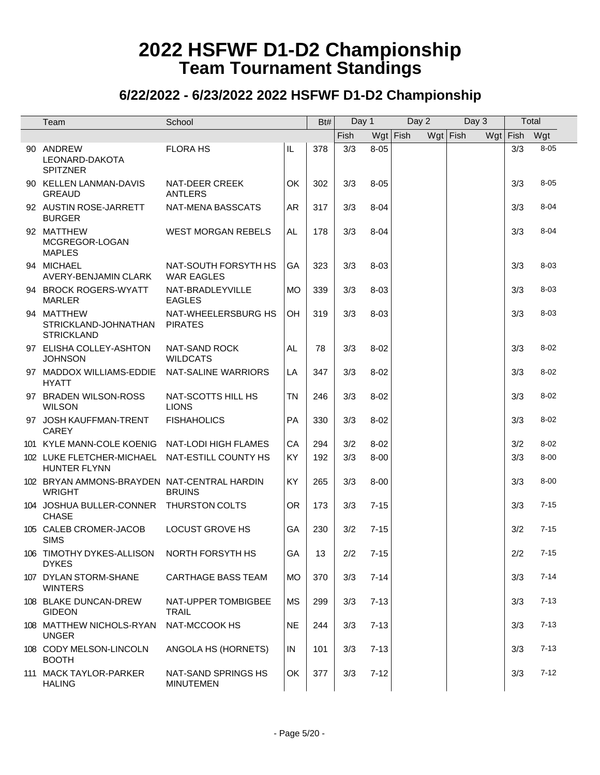| Team                                                                  | School                                    |           | Bt# | Day 1      |          | Day 2      | Day 3      | Total      |          |  |
|-----------------------------------------------------------------------|-------------------------------------------|-----------|-----|------------|----------|------------|------------|------------|----------|--|
|                                                                       |                                           |           |     | Fish       |          | $Wgt$ Fish | $Wgt$ Fish | $Wgt$ Fish | Wgt      |  |
| 90 ANDREW<br>LEONARD-DAKOTA<br><b>SPITZNER</b>                        | <b>FLORA HS</b>                           | IL        | 378 | 3/3        | $8 - 05$ |            |            | 3/3        | $8 - 05$ |  |
| 90 KELLEN LANMAN-DAVIS<br><b>GREAUD</b>                               | NAT-DEER CREEK<br>ANTLERS                 | OK        | 302 | 3/3        | $8 - 05$ |            |            | 3/3        | $8 - 05$ |  |
| 92 AUSTIN ROSE-JARRETT<br><b>BURGER</b>                               | NAT-MENA BASSCATS                         | AR        | 317 | 3/3        | $8 - 04$ |            |            | 3/3        | $8 - 04$ |  |
| 92 MATTHEW<br>MCGREGOR-LOGAN<br><b>MAPLES</b>                         | <b>WEST MORGAN REBELS</b>                 | AL.       | 178 | 3/3        | $8 - 04$ |            |            | 3/3        | $8 - 04$ |  |
| 94 MICHAEL<br>AVERY-BENJAMIN CLARK                                    | NAT-SOUTH FORSYTH HS<br><b>WAR EAGLES</b> | GA        | 323 | 3/3        | $8 - 03$ |            |            | 3/3        | $8 - 03$ |  |
| 94 BROCK ROGERS-WYATT<br><b>MARLER</b>                                | NAT-BRADLEYVILLE<br><b>EAGLES</b>         | <b>MO</b> | 339 | 3/3        | $8 - 03$ |            |            | 3/3        | $8 - 03$ |  |
| 94 MATTHEW<br>STRICKLAND-JOHNATHAN<br><b>STRICKLAND</b>               | NAT-WHEELERSBURG HS<br><b>PIRATES</b>     | OH        | 319 | 3/3        | $8 - 03$ |            |            | 3/3        | $8 - 03$ |  |
| 97 ELISHA COLLEY-ASHTON<br><b>JOHNSON</b>                             | NAT-SAND ROCK<br><b>WILDCATS</b>          | AL.       | 78  | 3/3        | $8 - 02$ |            |            | 3/3        | $8 - 02$ |  |
| 97 MADDOX WILLIAMS-EDDIE<br><b>HYATT</b>                              | NAT-SALINE WARRIORS                       | LA        | 347 | 3/3        | $8 - 02$ |            |            | 3/3        | $8 - 02$ |  |
| 97 BRADEN WILSON-ROSS<br><b>WILSON</b>                                | NAT-SCOTTS HILL HS<br><b>LIONS</b>        | <b>TN</b> | 246 | 3/3        | $8 - 02$ |            |            | 3/3        | $8 - 02$ |  |
| 97 JOSH KAUFFMAN-TRENT<br><b>CAREY</b>                                | <b>FISHAHOLICS</b>                        | <b>PA</b> | 330 | 3/3        | $8 - 02$ |            |            | 3/3        | $8 - 02$ |  |
| 101 KYLE MANN-COLE KOENIG                                             | NAT-LODI HIGH FLAMES                      | CA        | 294 | 3/2        | $8 - 02$ |            |            | 3/2        | $8 - 02$ |  |
| 102 LUKE FLETCHER-MICHAEL NAT-ESTILL COUNTY HS<br><b>HUNTER FLYNN</b> |                                           | <b>KY</b> | 192 | 3/3        | $8 - 00$ |            |            | 3/3        | $8 - 00$ |  |
| 102 BRYAN AMMONS-BRAYDEN NAT-CENTRAL HARDIN<br><b>WRIGHT</b>          | <b>BRUINS</b>                             | KY        | 265 | 3/3        | $8 - 00$ |            |            | 3/3        | $8 - 00$ |  |
| 104 JOSHUA BULLER-CONNER THURSTON COLTS<br><b>CHASE</b>               |                                           | <b>OR</b> | 173 | 3/3        | $7 - 15$ |            |            | 3/3        | $7 - 15$ |  |
| 105 CALEB CROMER-JACOB<br><b>SIMS</b>                                 | <b>LOCUST GROVE HS</b>                    | <b>GA</b> | 230 | 3/2        | $7 - 15$ |            |            | 3/2        | $7 - 15$ |  |
| 106 TIMOTHY DYKES-ALLISON NORTH FORSYTH HS<br><b>DYKES</b>            |                                           | GA        | 13  | $2/2$ 7-15 |          |            |            | 2/2        | $7 - 15$ |  |
| 107 DYLAN STORM-SHANE<br><b>WINTERS</b>                               | <b>CARTHAGE BASS TEAM</b>                 | <b>MO</b> | 370 | 3/3        | $7 - 14$ |            |            | 3/3        | $7 - 14$ |  |
| 108 BLAKE DUNCAN-DREW<br><b>GIDEON</b>                                | NAT-UPPER TOMBIGBEE<br><b>TRAIL</b>       | <b>MS</b> | 299 | 3/3        | $7 - 13$ |            |            | 3/3        | $7 - 13$ |  |
| 108 MATTHEW NICHOLS-RYAN<br><b>UNGER</b>                              | NAT-MCCOOK HS                             | <b>NE</b> | 244 | 3/3        | $7 - 13$ |            |            | 3/3        | $7 - 13$ |  |
| 108 CODY MELSON-LINCOLN<br><b>BOOTH</b>                               | ANGOLA HS (HORNETS)                       | IN        | 101 | 3/3        | $7 - 13$ |            |            | 3/3        | $7 - 13$ |  |
| 111 MACK TAYLOR-PARKER<br><b>HALING</b>                               | NAT-SAND SPRINGS HS<br><b>MINUTEMEN</b>   | OK        | 377 | 3/3        | $7 - 12$ |            |            | 3/3        | $7 - 12$ |  |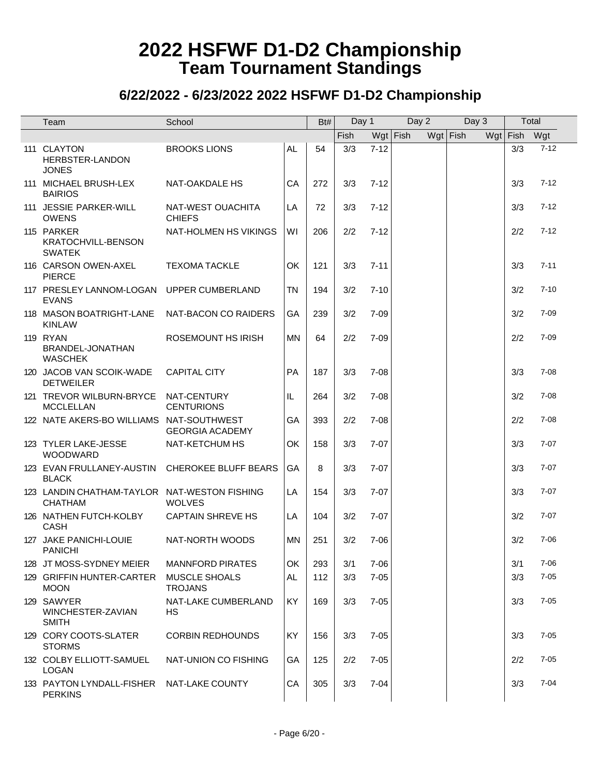| Team                                                           | School                                 |           | Bt# | Day 1       |          | Day 2      |            | Day 3 | Total        |          |
|----------------------------------------------------------------|----------------------------------------|-----------|-----|-------------|----------|------------|------------|-------|--------------|----------|
|                                                                |                                        |           |     | <b>Fish</b> |          | $Wgt$ Fish | $Wgt$ Fish |       | Wgt Fish Wgt |          |
| 111 CLAYTON<br>HERBSTER-LANDON<br><b>JONES</b>                 | <b>BROOKS LIONS</b>                    | AL        | 54  | 3/3         | $7 - 12$ |            |            |       | 3/3          | $7 - 12$ |
| 111 MICHAEL BRUSH-LEX<br><b>BAIRIOS</b>                        | NAT-OAKDALE HS                         | CA        | 272 | 3/3         | $7 - 12$ |            |            |       | 3/3          | $7 - 12$ |
| 111 JESSIE PARKER-WILL<br><b>OWENS</b>                         | NAT-WEST OUACHITA<br><b>CHIEFS</b>     | LA        | 72  | 3/3         | $7 - 12$ |            |            |       | 3/3          | $7 - 12$ |
| 115 PARKER<br>KRATOCHVILL-BENSON<br><b>SWATEK</b>              | NAT-HOLMEN HS VIKINGS                  | WI        | 206 | 2/2         | $7 - 12$ |            |            |       | 2/2          | $7 - 12$ |
| 116 CARSON OWEN-AXEL<br><b>PIERCE</b>                          | <b>TEXOMA TACKLE</b>                   | <b>OK</b> | 121 | 3/3         | $7 - 11$ |            |            |       | 3/3          | $7 - 11$ |
| 117 PRESLEY LANNOM-LOGAN UPPER CUMBERLAND<br><b>EVANS</b>      |                                        | TN        | 194 | 3/2         | $7 - 10$ |            |            |       | 3/2          | $7 - 10$ |
| 118 MASON BOATRIGHT-LANE<br><b>KINLAW</b>                      | NAT-BACON CO RAIDERS                   | GA        | 239 | 3/2         | $7 - 09$ |            |            |       | 3/2          | $7 - 09$ |
| <b>119 RYAN</b><br>BRANDEL-JONATHAN<br><b>WASCHEK</b>          | ROSEMOUNT HS IRISH                     | <b>MN</b> | 64  | 2/2         | $7 - 09$ |            |            |       | 2/2          | $7 - 09$ |
| 120 JACOB VAN SCOIK-WADE<br><b>DETWEILER</b>                   | <b>CAPITAL CITY</b>                    | <b>PA</b> | 187 | 3/3         | $7 - 08$ |            |            |       | 3/3          | $7 - 08$ |
| 121 TREVOR WILBURN-BRYCE<br><b>MCCLELLAN</b>                   | NAT-CENTURY<br><b>CENTURIONS</b>       | IL.       | 264 | 3/2         | $7 - 08$ |            |            |       | 3/2          | $7 - 08$ |
| 122 NATE AKERS-BO WILLIAMS NAT-SOUTHWEST                       | <b>GEORGIA ACADEMY</b>                 | GA        | 393 | 2/2         | $7 - 08$ |            |            |       | 2/2          | $7 - 08$ |
| 123 TYLER LAKE-JESSE<br><b>WOODWARD</b>                        | NAT-KETCHUM HS                         | OK        | 158 | 3/3         | $7 - 07$ |            |            |       | 3/3          | $7 - 07$ |
| 123 EVAN FRULLANEY-AUSTIN<br><b>BLACK</b>                      | CHEROKEE BLUFF BEARS                   | GA        | 8   | 3/3         | $7 - 07$ |            |            |       | 3/3          | $7 - 07$ |
| 123 LANDIN CHATHAM-TAYLOR NAT-WESTON FISHING<br><b>CHATHAM</b> | <b>WOLVES</b>                          | LA        | 154 | 3/3         | $7 - 07$ |            |            |       | 3/3          | $7 - 07$ |
| 126 NATHEN FUTCH-KOLBY<br>CASH                                 | <b>CAPTAIN SHREVE HS</b>               | LA        | 104 | 3/2         | $7 - 07$ |            |            |       | 3/2          | $7 - 07$ |
| 127 JAKE PANICHI-LOUIE<br><b>PANICHI</b>                       | NAT-NORTH WOODS                        | MN        | 251 | 3/2         | $7 - 06$ |            |            |       | 3/2          | $7 - 06$ |
| 128 JT MOSS-SYDNEY MEIER                                       | <b>MANNFORD PIRATES</b>                | OK        | 293 | 3/1         | $7 - 06$ |            |            |       | 3/1          | $7 - 06$ |
| 129 GRIFFIN HUNTER-CARTER<br><b>MOON</b>                       | <b>MUSCLE SHOALS</b><br><b>TROJANS</b> | <b>AL</b> | 112 | 3/3         | $7 - 05$ |            |            |       | 3/3          | $7 - 05$ |
| 129 SAWYER<br>WINCHESTER-ZAVIAN<br><b>SMITH</b>                | NAT-LAKE CUMBERLAND<br>HS              | KY        | 169 | 3/3         | $7 - 05$ |            |            |       | 3/3          | $7 - 05$ |
| 129 CORY COOTS-SLATER<br><b>STORMS</b>                         | <b>CORBIN REDHOUNDS</b>                | KY        | 156 | 3/3         | $7 - 05$ |            |            |       | 3/3          | $7 - 05$ |
| 132 COLBY ELLIOTT-SAMUEL<br>LOGAN                              | NAT-UNION CO FISHING                   | GA        | 125 | 2/2         | $7 - 05$ |            |            |       | 2/2          | $7 - 05$ |
| 133 PAYTON LYNDALL-FISHER NAT-LAKE COUNTY<br><b>PERKINS</b>    |                                        | CA        | 305 | 3/3         | $7 - 04$ |            |            |       | 3/3          | $7 - 04$ |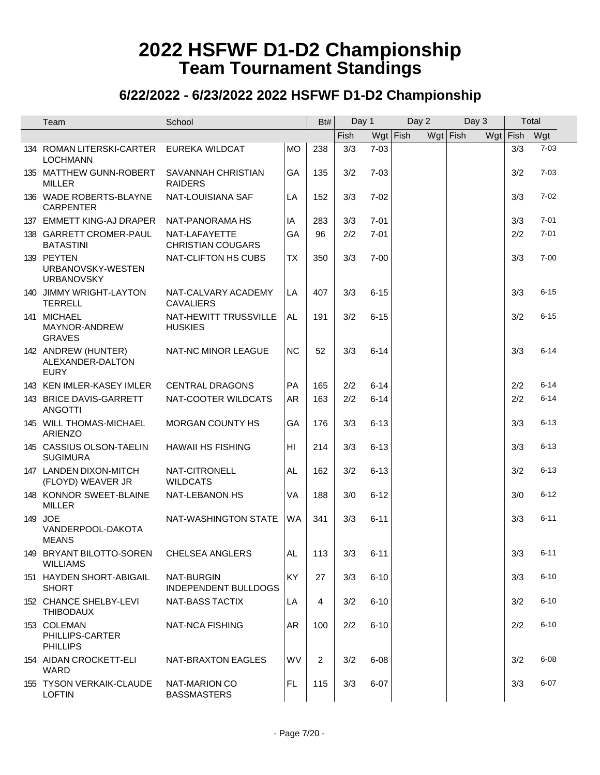| Team                                                   | School                                           |                | Bt# | Day 1 |          | Day 2      |            | Day 3 | Total      |          |
|--------------------------------------------------------|--------------------------------------------------|----------------|-----|-------|----------|------------|------------|-------|------------|----------|
|                                                        |                                                  |                |     | Fish  |          | $Wgt$ Fish | $Wgt$ Fish |       | $Wgt$ Fish | Wgt      |
| 134 ROMAN LITERSKI-CARTER<br><b>LOCHMANN</b>           | <b>EUREKA WILDCAT</b>                            | <b>MO</b>      | 238 | 3/3   | $7 - 03$ |            |            |       | 3/3        | $7 - 03$ |
| 135 MATTHEW GUNN-ROBERT<br><b>MILLER</b>               | SAVANNAH CHRISTIAN<br><b>RAIDERS</b>             | GA             | 135 | 3/2   | $7 - 03$ |            |            |       | 3/2        | $7 - 03$ |
| 136 WADE ROBERTS-BLAYNE<br><b>CARPENTER</b>            | NAT-LOUISIANA SAF                                | LA             | 152 | 3/3   | $7 - 02$ |            |            |       | 3/3        | $7 - 02$ |
| 137 EMMETT KING-AJ DRAPER                              | NAT-PANORAMA HS                                  | IA             | 283 | 3/3   | $7 - 01$ |            |            |       | 3/3        | $7 - 01$ |
| 138 GARRETT CROMER-PAUL<br><b>BATASTINI</b>            | NAT-LAFAYETTE<br><b>CHRISTIAN COUGARS</b>        | GA             | 96  | 2/2   | $7 - 01$ |            |            |       | 2/2        | $7 - 01$ |
| 139 PEYTEN<br>URBANOVSKY-WESTEN<br><b>URBANOVSKY</b>   | NAT-CLIFTON HS CUBS                              | <b>TX</b>      | 350 | 3/3   | $7 - 00$ |            |            |       | 3/3        | $7 - 00$ |
| 140 JIMMY WRIGHT-LAYTON<br><b>TERRELL</b>              | NAT-CALVARY ACADEMY<br><b>CAVALIERS</b>          | LA             | 407 | 3/3   | $6 - 15$ |            |            |       | 3/3        | $6 - 15$ |
| 141 MICHAEL<br>MAYNOR-ANDREW<br><b>GRAVES</b>          | NAT-HEWITT TRUSSVILLE<br><b>HUSKIES</b>          | <b>AL</b>      | 191 | 3/2   | $6 - 15$ |            |            |       | 3/2        | $6 - 15$ |
| 142 ANDREW (HUNTER)<br>ALEXANDER-DALTON<br><b>EURY</b> | NAT-NC MINOR LEAGUE                              | <b>NC</b>      | 52  | 3/3   | $6 - 14$ |            |            |       | 3/3        | $6 - 14$ |
| 143 KEN IMLER-KASEY IMLER                              | <b>CENTRAL DRAGONS</b>                           | PA             | 165 | 2/2   | $6 - 14$ |            |            |       | 2/2        | $6 - 14$ |
| 143 BRICE DAVIS-GARRETT<br><b>ANGOTTI</b>              | NAT-COOTER WILDCATS                              | AR             | 163 | 2/2   | $6 - 14$ |            |            |       | 2/2        | $6 - 14$ |
| 145 WILL THOMAS-MICHAEL<br><b>ARIENZO</b>              | MORGAN COUNTY HS                                 | GA             | 176 | 3/3   | $6 - 13$ |            |            |       | 3/3        | $6 - 13$ |
| 145 CASSIUS OLSON-TAELIN<br><b>SUGIMURA</b>            | <b>HAWAII HS FISHING</b>                         | H <sub>l</sub> | 214 | 3/3   | $6 - 13$ |            |            |       | 3/3        | $6 - 13$ |
| 147 LANDEN DIXON-MITCH<br>(FLOYD) WEAVER JR            | NAT-CITRONELL<br><b>WILDCATS</b>                 | AL.            | 162 | 3/2   | $6 - 13$ |            |            |       | 3/2        | $6 - 13$ |
| 148 KONNOR SWEET-BLAINE<br><b>MILLER</b>               | NAT-LEBANON HS                                   | VA             | 188 | 3/0   | $6 - 12$ |            |            |       | 3/0        | $6 - 12$ |
| 149 JOE<br>VANDERPOOL-DAKOTA<br><b>MEANS</b>           | NAT-WASHINGTON STATE                             | WA             | 341 | 3/3   | $6 - 11$ |            |            |       | 3/3        | $6 - 11$ |
| 149 BRYANT BILOTTO-SOREN<br><b>WILLIAMS</b>            | CHELSEA ANGLERS                                  | AL             | 113 | 3/3   | 6-11     |            |            |       | 3/3        | $6 - 11$ |
| 151 HAYDEN SHORT-ABIGAIL<br><b>SHORT</b>               | <b>NAT-BURGIN</b><br><b>INDEPENDENT BULLDOGS</b> | <b>KY</b>      | 27  | 3/3   | $6 - 10$ |            |            |       | 3/3        | $6 - 10$ |
| 152 CHANCE SHELBY-LEVI<br><b>THIBODAUX</b>             | <b>NAT-BASS TACTIX</b>                           | LA             | 4   | 3/2   | $6 - 10$ |            |            |       | 3/2        | $6 - 10$ |
| 153 COLEMAN<br>PHILLIPS-CARTER<br><b>PHILLIPS</b>      | NAT-NCA FISHING                                  | AR.            | 100 | 2/2   | $6 - 10$ |            |            |       | 2/2        | $6 - 10$ |
| 154 AIDAN CROCKETT-ELI<br><b>WARD</b>                  | NAT-BRAXTON EAGLES                               | <b>WV</b>      | 2   | 3/2   | $6 - 08$ |            |            |       | 3/2        | $6 - 08$ |
| 155 TYSON VERKAIK-CLAUDE<br><b>LOFTIN</b>              | NAT-MARION CO<br><b>BASSMASTERS</b>              | FL             | 115 | 3/3   | $6 - 07$ |            |            |       | 3/3        | $6 - 07$ |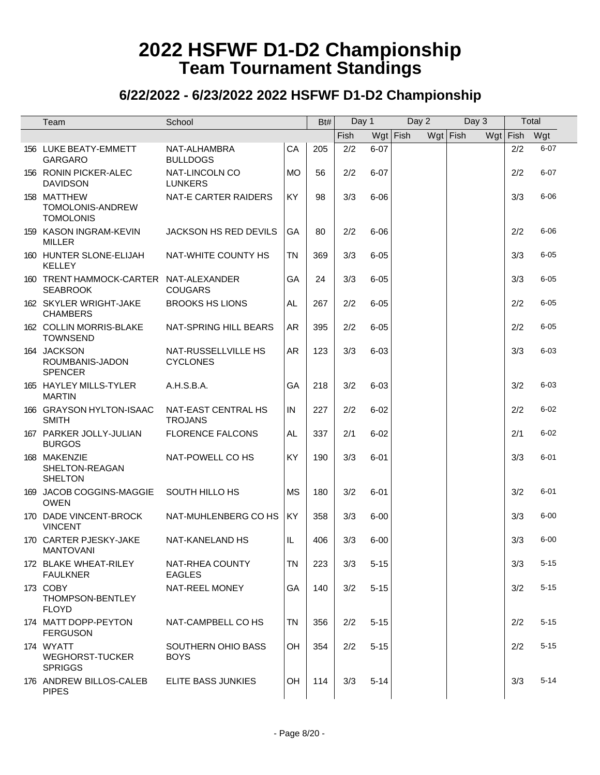| Team                                                      | School                                 |           | Bt# | Day 1 |            | Day 2 | Day 3      | Total      |          |
|-----------------------------------------------------------|----------------------------------------|-----------|-----|-------|------------|-------|------------|------------|----------|
|                                                           |                                        |           |     | Fish  | $Wgt$ Fish |       | $Wgt$ Fish | $Wgt$ Fish | Wgt      |
| 156 LUKE BEATY-EMMETT<br><b>GARGARO</b>                   | NAT-ALHAMBRA<br><b>BULLDOGS</b>        | CA        | 205 | 2/2   | $6 - 07$   |       |            | 2/2        | $6 - 07$ |
| 156 RONIN PICKER-ALEC<br><b>DAVIDSON</b>                  | NAT-LINCOLN CO<br><b>LUNKERS</b>       | <b>MO</b> | 56  | 2/2   | $6 - 07$   |       |            | 2/2        | $6 - 07$ |
| 158 MATTHEW<br>TOMOLONIS-ANDREW<br><b>TOMOLONIS</b>       | <b>NAT-E CARTER RAIDERS</b>            | <b>KY</b> | 98  | 3/3   | $6 - 06$   |       |            | 3/3        | $6 - 06$ |
| 159 KASON INGRAM-KEVIN<br><b>MILLER</b>                   | JACKSON HS RED DEVILS                  | GA        | 80  | 2/2   | $6 - 06$   |       |            | 2/2        | $6 - 06$ |
| 160 HUNTER SLONE-ELIJAH<br><b>KELLEY</b>                  | NAT-WHITE COUNTY HS                    | <b>TN</b> | 369 | 3/3   | $6 - 05$   |       |            | 3/3        | $6 - 05$ |
| 160 TRENT HAMMOCK-CARTER NAT-ALEXANDER<br><b>SEABROOK</b> | <b>COUGARS</b>                         | GA        | 24  | 3/3   | $6 - 05$   |       |            | 3/3        | $6 - 05$ |
| 162 SKYLER WRIGHT-JAKE<br><b>CHAMBERS</b>                 | <b>BROOKS HS LIONS</b>                 | AL.       | 267 | 2/2   | $6 - 05$   |       |            | 2/2        | $6 - 05$ |
| 162 COLLIN MORRIS-BLAKE<br><b>TOWNSEND</b>                | NAT-SPRING HILL BEARS                  | AR        | 395 | 2/2   | $6 - 05$   |       |            | 2/2        | $6 - 05$ |
| 164 JACKSON<br>ROUMBANIS-JADON<br><b>SPENCER</b>          | NAT-RUSSELLVILLE HS<br><b>CYCLONES</b> | AR        | 123 | 3/3   | $6 - 03$   |       |            | 3/3        | $6 - 03$ |
| 165 HAYLEY MILLS-TYLER<br><b>MARTIN</b>                   | A.H.S.B.A.                             | GA        | 218 | 3/2   | $6 - 03$   |       |            | 3/2        | $6 - 03$ |
| 166 GRAYSON HYLTON-ISAAC<br><b>SMITH</b>                  | NAT-EAST CENTRAL HS<br><b>TROJANS</b>  | IN        | 227 | 2/2   | $6 - 02$   |       |            | 2/2        | $6 - 02$ |
| 167 PARKER JOLLY-JULIAN<br><b>BURGOS</b>                  | <b>FLORENCE FALCONS</b>                | AL.       | 337 | 2/1   | $6 - 02$   |       |            | 2/1        | $6 - 02$ |
| 168 MAKENZIE<br>SHELTON-REAGAN<br><b>SHELTON</b>          | NAT-POWELL CO HS                       | KY        | 190 | 3/3   | $6 - 01$   |       |            | 3/3        | $6 - 01$ |
| 169 JACOB COGGINS-MAGGIE<br><b>OWEN</b>                   | SOUTH HILLO HS                         | <b>MS</b> | 180 | 3/2   | $6 - 01$   |       |            | 3/2        | $6 - 01$ |
| 170 DADE VINCENT-BROCK<br><b>VINCENT</b>                  | NAT-MUHLENBERG CO HS                   | KY        | 358 | 3/3   | $6 - 00$   |       |            | 3/3        | $6 - 00$ |
| 170 CARTER PJESKY-JAKE<br><b>MANTOVANI</b>                | NAT-KANELAND HS                        | IL.       | 406 | 3/3   | $6 - 00$   |       |            | 3/3        | $6 - 00$ |
| 172 BLAKE WHEAT-RILEY<br><b>FAULKNER</b>                  | NAT-RHEA COUNTY<br><b>EAGLES</b>       | <b>TN</b> | 223 | 3/3   | $5 - 15$   |       |            | 3/3        | $5 - 15$ |
| 173 COBY<br>THOMPSON-BENTLEY<br><b>FLOYD</b>              | NAT-REEL MONEY                         | GA        | 140 | 3/2   | $5 - 15$   |       |            | 3/2        | $5 - 15$ |
| 174 MATT DOPP-PEYTON<br><b>FERGUSON</b>                   | NAT-CAMPBELL CO HS                     | TN        | 356 | 2/2   | $5 - 15$   |       |            | 2/2        | $5 - 15$ |
| 174 WYATT<br><b>WEGHORST-TUCKER</b><br><b>SPRIGGS</b>     | SOUTHERN OHIO BASS<br><b>BOYS</b>      | OH        | 354 | 2/2   | $5 - 15$   |       |            | 2/2        | $5 - 15$ |
| 176 ANDREW BILLOS-CALEB<br><b>PIPES</b>                   | ELITE BASS JUNKIES                     | OH        | 114 | 3/3   | $5 - 14$   |       |            | 3/3        | $5 - 14$ |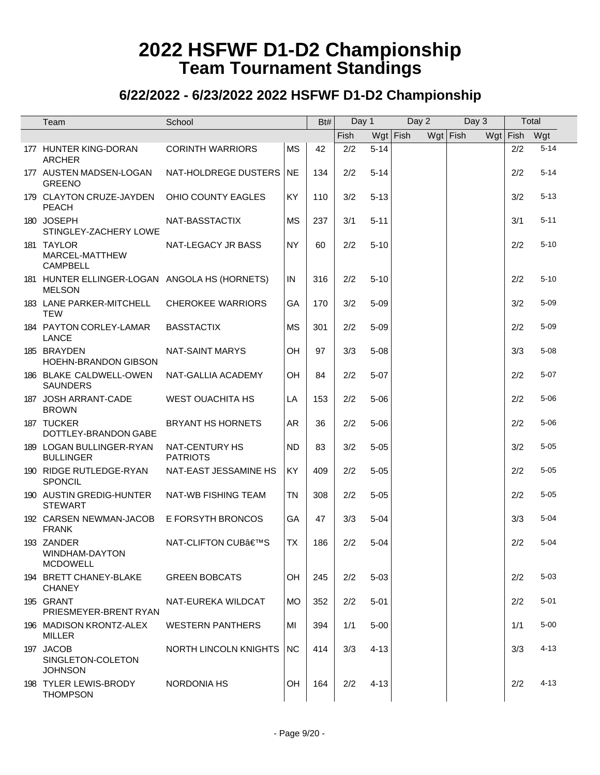| Team                                                           | School                            |           | Bt# | Day 1 |          | Day 2      |            | Day 3 | Total        |          |
|----------------------------------------------------------------|-----------------------------------|-----------|-----|-------|----------|------------|------------|-------|--------------|----------|
|                                                                |                                   |           |     | Fish  |          | $Wgt$ Fish | $Wgt$ Fish |       | Wgt Fish Wgt |          |
| 177 HUNTER KING-DORAN<br><b>ARCHER</b>                         | <b>CORINTH WARRIORS</b>           | <b>MS</b> | 42  | 2/2   | $5 - 14$ |            |            |       | 2/2          | $5 - 14$ |
| 177 AUSTEN MADSEN-LOGAN<br><b>GREENO</b>                       | NAT-HOLDREGE DUSTERS              | NE.       | 134 | 2/2   | $5 - 14$ |            |            |       | 2/2          | $5 - 14$ |
| 179 CLAYTON CRUZE-JAYDEN<br><b>PEACH</b>                       | OHIO COUNTY EAGLES                | KY        | 110 | 3/2   | $5 - 13$ |            |            |       | 3/2          | $5 - 13$ |
| 180 JOSEPH<br>STINGLEY-ZACHERY LOWE                            | NAT-BASSTACTIX                    | MS        | 237 | 3/1   | $5 - 11$ |            |            |       | 3/1          | $5 - 11$ |
| 181 TAYLOR<br>MARCEL-MATTHEW<br><b>CAMPBELL</b>                | NAT-LEGACY JR BASS                | <b>NY</b> | 60  | 2/2   | $5 - 10$ |            |            |       | 2/2          | $5 - 10$ |
| 181 HUNTER ELLINGER-LOGAN ANGOLA HS (HORNETS)<br><b>MELSON</b> |                                   | IN        | 316 | 2/2   | $5 - 10$ |            |            |       | 2/2          | $5 - 10$ |
| 183 LANE PARKER-MITCHELL<br><b>TEW</b>                         | <b>CHEROKEE WARRIORS</b>          | GA        | 170 | 3/2   | $5 - 09$ |            |            |       | 3/2          | $5 - 09$ |
| 184 PAYTON CORLEY-LAMAR<br><b>LANCE</b>                        | <b>BASSTACTIX</b>                 | <b>MS</b> | 301 | 2/2   | $5 - 09$ |            |            |       | 2/2          | $5 - 09$ |
| 185 BRAYDEN<br><b>HOEHN-BRANDON GIBSON</b>                     | <b>NAT-SAINT MARYS</b>            | OH        | 97  | 3/3   | $5 - 08$ |            |            |       | 3/3          | $5 - 08$ |
| 186 BLAKE CALDWELL-OWEN<br><b>SAUNDERS</b>                     | NAT-GALLIA ACADEMY                | OH        | 84  | 2/2   | $5 - 07$ |            |            |       | 2/2          | $5 - 07$ |
| 187 JOSH ARRANT-CADE<br><b>BROWN</b>                           | <b>WEST OUACHITA HS</b>           | LA        | 153 | 2/2   | $5 - 06$ |            |            |       | 2/2          | $5 - 06$ |
| 187 TUCKER<br>DOTTLEY-BRANDON GABE                             | <b>BRYANT HS HORNETS</b>          | <b>AR</b> | 36  | 2/2   | $5 - 06$ |            |            |       | 2/2          | $5 - 06$ |
| 189 LOGAN BULLINGER-RYAN<br><b>BULLINGER</b>                   | NAT-CENTURY HS<br><b>PATRIOTS</b> | <b>ND</b> | 83  | 3/2   | $5 - 05$ |            |            |       | 3/2          | $5 - 05$ |
| 190 RIDGE RUTLEDGE-RYAN<br>SPONCIL                             | NAT-EAST JESSAMINE HS             | KY        | 409 | 2/2   | $5 - 05$ |            |            |       | 2/2          | $5 - 05$ |
| 190 AUSTIN GREDIG-HUNTER<br><b>STEWART</b>                     | NAT-WB FISHING TEAM               | <b>TN</b> | 308 | 2/2   | $5 - 05$ |            |            |       | 2/2          | $5 - 05$ |
| 192 CARSEN NEWMAN-JACOB<br><b>FRANK</b>                        | <b>E FORSYTH BRONCOS</b>          | GA        | 47  | 3/3   | $5 - 04$ |            |            |       | 3/3          | $5 - 04$ |
| 193 ZANDER<br>WINDHAM-DAYTON<br><b>MCDOWELL</b>                | NAT-CLIFTON CUB'S                 | <b>TX</b> | 186 | 2/2   | $5 - 04$ |            |            |       | 2/2          | $5 - 04$ |
| 194 BRETT CHANEY-BLAKE<br><b>CHANEY</b>                        | <b>GREEN BOBCATS</b>              | OH        | 245 | 2/2   | $5 - 03$ |            |            |       | 2/2          | $5 - 03$ |
| 195 GRANT<br>PRIESMEYER-BRENT RYAN                             | NAT-EUREKA WILDCAT                | <b>MO</b> | 352 | 2/2   | $5 - 01$ |            |            |       | 2/2          | $5 - 01$ |
| 196 MADISON KRONTZ-ALEX<br><b>MILLER</b>                       | <b>WESTERN PANTHERS</b>           | MI        | 394 | 1/1   | $5 - 00$ |            |            |       | 1/1          | $5 - 00$ |
| 197 JACOB<br>SINGLETON-COLETON<br><b>JOHNSON</b>               | NORTH LINCOLN KNIGHTS             | NC.       | 414 | 3/3   | $4 - 13$ |            |            |       | 3/3          | $4 - 13$ |
| 198 TYLER LEWIS-BRODY<br><b>THOMPSON</b>                       | <b>NORDONIA HS</b>                | OH.       | 164 | 2/2   | $4 - 13$ |            |            |       | 2/2          | $4 - 13$ |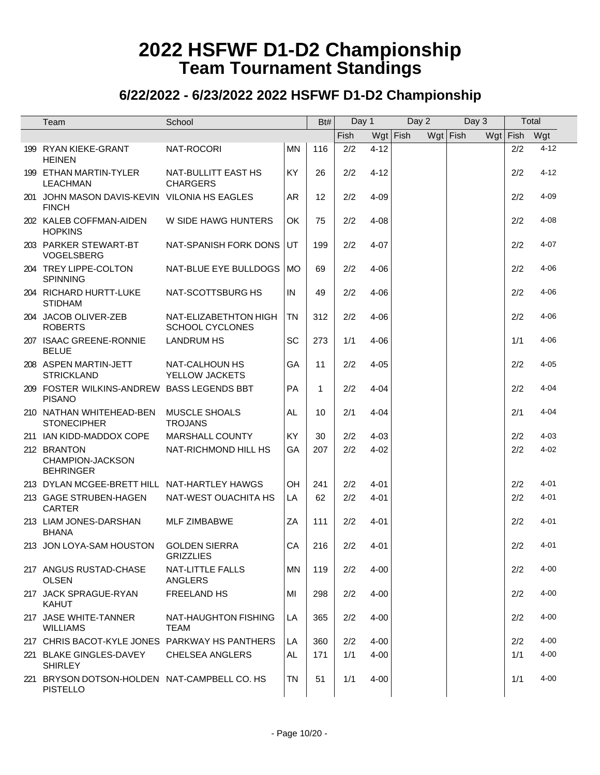| Team                                                            | School                                          |           | Bt# | Day 1 |          | Day 2      |            | Day 3 |            | Total    |
|-----------------------------------------------------------------|-------------------------------------------------|-----------|-----|-------|----------|------------|------------|-------|------------|----------|
|                                                                 |                                                 |           |     | Fish  |          | $Wgt$ Fish | $Wgt$ Fish |       | $Wgt$ Fish | Wgt      |
| 199 RYAN KIEKE-GRANT<br><b>HEINEN</b>                           | NAT-ROCORI                                      | <b>MN</b> | 116 | 2/2   | $4 - 12$ |            |            |       | 2/2        | $4 - 12$ |
| 199 ETHAN MARTIN-TYLER<br><b>LEACHMAN</b>                       | NAT-BULLITT EAST HS<br><b>CHARGERS</b>          | KY        | 26  | 2/2   | $4 - 12$ |            |            |       | 2/2        | $4 - 12$ |
| 201 JOHN MASON DAVIS-KEVIN VILONIA HS EAGLES<br><b>FINCH</b>    |                                                 | AR        | 12  | 2/2   | $4 - 09$ |            |            |       | 2/2        | $4 - 09$ |
| 202 KALEB COFFMAN-AIDEN<br><b>HOPKINS</b>                       | W SIDE HAWG HUNTERS                             | OK        | 75  | 2/2   | $4 - 08$ |            |            |       | 2/2        | $4 - 08$ |
| 203 PARKER STEWART-BT<br>VOGELSBERG                             | NAT-SPANISH FORK DONS                           | UT        | 199 | 2/2   | $4 - 07$ |            |            |       | 2/2        | $4 - 07$ |
| 204 TREY LIPPE-COLTON<br><b>SPINNING</b>                        | NAT-BLUE EYE BULLDOGS                           | MO        | 69  | 2/2   | $4 - 06$ |            |            |       | 2/2        | $4 - 06$ |
| 204 RICHARD HURTT-LUKE<br><b>STIDHAM</b>                        | NAT-SCOTTSBURG HS                               | IN        | 49  | 2/2   | $4 - 06$ |            |            |       | 2/2        | $4 - 06$ |
| 204 JACOB OLIVER-ZEB<br><b>ROBERTS</b>                          | NAT-ELIZABETHTON HIGH<br><b>SCHOOL CYCLONES</b> | <b>TN</b> | 312 | 2/2   | $4 - 06$ |            |            |       | 2/2        | $4 - 06$ |
| 207 ISAAC GREENE-RONNIE<br><b>BELUE</b>                         | <b>LANDRUM HS</b>                               | SC        | 273 | 1/1   | $4 - 06$ |            |            |       | 1/1        | $4 - 06$ |
| 208 ASPEN MARTIN-JETT<br><b>STRICKLAND</b>                      | NAT-CALHOUN HS<br>YELLOW JACKETS                | GA        | 11  | 2/2   | $4 - 05$ |            |            |       | 2/2        | $4 - 05$ |
| 209 FOSTER WILKINS-ANDREW BASS LEGENDS BBT<br><b>PISANO</b>     |                                                 | <b>PA</b> | 1   | 2/2   | $4 - 04$ |            |            |       | 2/2        | $4 - 04$ |
| 210 NATHAN WHITEHEAD-BEN<br><b>STONECIPHER</b>                  | <b>MUSCLE SHOALS</b><br><b>TROJANS</b>          | AL.       | 10  | 2/1   | $4 - 04$ |            |            |       | 2/1        | $4 - 04$ |
| 211 IAN KIDD-MADDOX COPE                                        | <b>MARSHALL COUNTY</b>                          | KY        | 30  | 2/2   | $4 - 03$ |            |            |       | 2/2        | $4 - 03$ |
| 212 BRANTON<br>CHAMPION-JACKSON<br><b>BEHRINGER</b>             | NAT-RICHMOND HILL HS                            | GA        | 207 | 2/2   | $4 - 02$ |            |            |       | 2/2        | $4 - 02$ |
| 213 DYLAN MCGEE-BRETT HILL NAT-HARTLEY HAWGS                    |                                                 | OH        | 241 | 2/2   | $4 - 01$ |            |            |       | 2/2        | $4 - 01$ |
| 213 GAGE STRUBEN-HAGEN<br><b>CARTER</b>                         | NAT-WEST OUACHITA HS                            | LA        | 62  | 2/2   | $4 - 01$ |            |            |       | 2/2        | $4 - 01$ |
| 213 LIAM JONES-DARSHAN<br><b>BHANA</b>                          | MLF ZIMBABWE                                    | ZA        | 111 | 2/2   | $4 - 01$ |            |            |       | 2/2        | $4 - 01$ |
| 213 JON LOYA-SAM HOUSTON GOLDEN SIERRA                          | <b>GRIZZLIES</b>                                | CA        | 216 | 2/2   | 4-01     |            |            |       | 2/2        | $4 - 01$ |
| 217 ANGUS RUSTAD-CHASE<br><b>OLSEN</b>                          | <b>NAT-LITTLE FALLS</b><br><b>ANGLERS</b>       | <b>MN</b> | 119 | 2/2   | $4 - 00$ |            |            |       | 2/2        | $4 - 00$ |
| 217 JACK SPRAGUE-RYAN<br><b>KAHUT</b>                           | FREELAND HS                                     | MI        | 298 | 2/2   | $4 - 00$ |            |            |       | 2/2        | $4 - 00$ |
| 217 JASE WHITE-TANNER<br><b>WILLIAMS</b>                        | NAT-HAUGHTON FISHING<br><b>TEAM</b>             | LA        | 365 | 2/2   | $4 - 00$ |            |            |       | 2/2        | $4 - 00$ |
| 217 CHRIS BACOT-KYLE JONES PARKWAY HS PANTHERS                  |                                                 | LA        | 360 | 2/2   | $4 - 00$ |            |            |       | 2/2        | $4 - 00$ |
| 221 BLAKE GINGLES-DAVEY<br><b>SHIRLEY</b>                       | <b>CHELSEA ANGLERS</b>                          | AL.       | 171 | 1/1   | $4 - 00$ |            |            |       | 1/1        | $4 - 00$ |
| 221 BRYSON DOTSON-HOLDEN NAT-CAMPBELL CO. HS<br><b>PISTELLO</b> |                                                 | <b>TN</b> | 51  | 1/1   | $4 - 00$ |            |            |       | 1/1        | $4 - 00$ |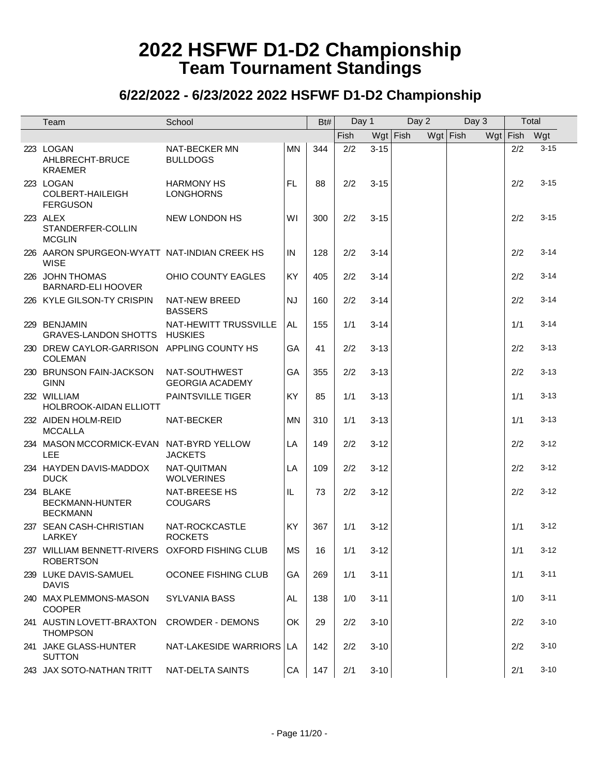| Team                                                               | School                                  |           | Bt# | Day 1       |          | Day 2      | Day 3      | Total        |          |
|--------------------------------------------------------------------|-----------------------------------------|-----------|-----|-------------|----------|------------|------------|--------------|----------|
|                                                                    |                                         |           |     | <b>Fish</b> |          | $Wgt$ Fish | $Wgt$ Fish | Wgt Fish Wgt |          |
| 223 LOGAN<br>AHLBRECHT-BRUCE<br><b>KRAEMER</b>                     | NAT-BECKER MN<br><b>BULLDOGS</b>        | <b>MN</b> | 344 | 2/2         | $3 - 15$ |            |            | 2/2          | $3 - 15$ |
| 223 LOGAN<br>COLBERT-HAILEIGH<br><b>FERGUSON</b>                   | <b>HARMONY HS</b><br><b>LONGHORNS</b>   | <b>FL</b> | 88  | 2/2         | $3 - 15$ |            |            | 2/2          | $3 - 15$ |
| 223 ALEX<br>STANDERFER-COLLIN<br><b>MCGLIN</b>                     | <b>NEW LONDON HS</b>                    | W١        | 300 | 2/2         | $3 - 15$ |            |            | 2/2          | $3 - 15$ |
| 226 AARON SPURGEON-WYATT NAT-INDIAN CREEK HS<br><b>WISE</b>        |                                         | IN        | 128 | 2/2         | $3 - 14$ |            |            | 2/2          | $3 - 14$ |
| 226 JOHN THOMAS<br><b>BARNARD-ELI HOOVER</b>                       | OHIO COUNTY EAGLES                      | <b>KY</b> | 405 | 2/2         | $3 - 14$ |            |            | 2/2          | $3 - 14$ |
| 226 KYLE GILSON-TY CRISPIN                                         | NAT-NEW BREED<br><b>BASSERS</b>         | <b>NJ</b> | 160 | 2/2         | $3 - 14$ |            |            | 2/2          | $3 - 14$ |
| 229 BENJAMIN<br>GRAVES-LANDON SHOTTS HUSKIES                       | NAT-HEWITT TRUSSVILLE                   | AL.       | 155 | 1/1         | $3 - 14$ |            |            | 1/1          | $3 - 14$ |
| 230 DREW CAYLOR-GARRISON APPLING COUNTY HS<br><b>COLEMAN</b>       |                                         | GA        | 41  | 2/2         | $3 - 13$ |            |            | 2/2          | $3 - 13$ |
| 230 BRUNSON FAIN-JACKSON<br><b>GINN</b>                            | NAT-SOUTHWEST<br><b>GEORGIA ACADEMY</b> | GA        | 355 | 2/2         | $3 - 13$ |            |            | 2/2          | $3 - 13$ |
| 232 WILLIAM<br><b>HOLBROOK-AIDAN ELLIOTT</b>                       | <b>PAINTSVILLE TIGER</b>                | KY        | 85  | 1/1         | $3 - 13$ |            |            | 1/1          | $3 - 13$ |
| 232 AIDEN HOLM-REID<br><b>MCCALLA</b>                              | NAT-BECKER                              | <b>MN</b> | 310 | 1/1         | $3 - 13$ |            |            | 1/1          | $3 - 13$ |
| 234 MASON MCCORMICK-EVAN NAT-BYRD YELLOW<br>LEE                    | <b>JACKETS</b>                          | LA        | 149 | 2/2         | $3 - 12$ |            |            | 2/2          | $3 - 12$ |
| 234 HAYDEN DAVIS-MADDOX<br><b>DUCK</b>                             | NAT-QUITMAN<br><b>WOLVERINES</b>        | LA        | 109 | 2/2         | $3 - 12$ |            |            | 2/2          | $3 - 12$ |
| 234 BLAKE<br><b>BECKMANN-HUNTER</b><br><b>BECKMANN</b>             | <b>NAT-BREESE HS</b><br><b>COUGARS</b>  | IL.       | 73  | 2/2         | $3 - 12$ |            |            | 2/2          | $3 - 12$ |
| 237 SEAN CASH-CHRISTIAN<br><b>LARKEY</b>                           | NAT-ROCKCASTLE<br><b>ROCKETS</b>        | <b>KY</b> | 367 | 1/1         | $3 - 12$ |            |            | 1/1          | $3 - 12$ |
| 237 WILLIAM BENNETT-RIVERS OXFORD FISHING CLUB<br><b>ROBERTSON</b> |                                         | <b>MS</b> | 16  | 1/1         | $3 - 12$ |            |            | 1/1          | $3 - 12$ |
| 239 LUKE DAVIS-SAMUEL<br><b>DAVIS</b>                              | OCONEE FISHING CLUB                     | GA        | 269 | 1/1         | $3 - 11$ |            |            | 1/1          | $3 - 11$ |
| 240 MAX PLEMMONS-MASON<br><b>COOPER</b>                            | SYLVANIA BASS                           | AL.       | 138 | 1/0         | $3 - 11$ |            |            | 1/0          | $3 - 11$ |
| 241 AUSTIN LOVETT-BRAXTON CROWDER - DEMONS<br><b>THOMPSON</b>      |                                         | OK        | 29  | 2/2         | $3 - 10$ |            |            | 2/2          | $3 - 10$ |
| 241 JAKE GLASS-HUNTER<br><b>SUTTON</b>                             | NAT-LAKESIDE WARRIORS   LA              |           | 142 | 2/2         | $3 - 10$ |            |            | 2/2          | $3 - 10$ |
| 243 JAX SOTO-NATHAN TRITT                                          | NAT-DELTA SAINTS                        | CA        | 147 | 2/1         | $3 - 10$ |            |            | 2/1          | $3 - 10$ |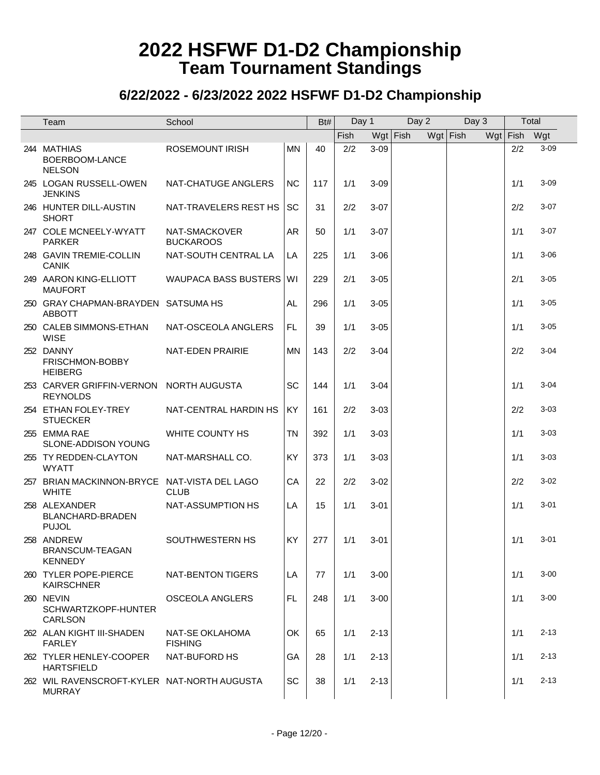| Team                                                         | School                            |           | Bt# | Day 1 |          | Day 2      | Day 3      | Total      |          |
|--------------------------------------------------------------|-----------------------------------|-----------|-----|-------|----------|------------|------------|------------|----------|
|                                                              |                                   |           |     | Fish  |          | $Wgt$ Fish | $Wgt$ Fish | $Wgt$ Fish | Wgt      |
| 244 MATHIAS<br>BOERBOOM-LANCE<br><b>NELSON</b>               | <b>ROSEMOUNT IRISH</b>            | <b>MN</b> | 40  | 2/2   | $3 - 09$ |            |            | 2/2        | $3 - 09$ |
| 245 LOGAN RUSSELL-OWEN<br><b>JENKINS</b>                     | NAT-CHATUGE ANGLERS               | <b>NC</b> | 117 | 1/1   | $3 - 09$ |            |            | 1/1        | $3 - 09$ |
| 246 HUNTER DILL-AUSTIN<br><b>SHORT</b>                       | NAT-TRAVELERS REST HS             | <b>SC</b> | 31  | 2/2   | $3 - 07$ |            |            | 2/2        | $3 - 07$ |
| 247 COLE MCNEELY-WYATT<br><b>PARKER</b>                      | NAT-SMACKOVER<br><b>BUCKAROOS</b> | <b>AR</b> | 50  | 1/1   | $3 - 07$ |            |            | 1/1        | $3 - 07$ |
| 248 GAVIN TREMIE-COLLIN<br><b>CANIK</b>                      | NAT-SOUTH CENTRAL LA              | LA        | 225 | 1/1   | $3 - 06$ |            |            | 1/1        | $3 - 06$ |
| 249 AARON KING-ELLIOTT<br><b>MAUFORT</b>                     | WAUPACA BASS BUSTERS WI           |           | 229 | 2/1   | $3 - 05$ |            |            | 2/1        | $3 - 05$ |
| 250 GRAY CHAPMAN-BRAYDEN SATSUMA HS<br><b>ABBOTT</b>         |                                   | AL        | 296 | 1/1   | $3 - 05$ |            |            | 1/1        | $3 - 05$ |
| 250 CALEB SIMMONS-ETHAN<br><b>WISE</b>                       | NAT-OSCEOLA ANGLERS               | FL.       | 39  | 1/1   | $3 - 05$ |            |            | 1/1        | $3 - 05$ |
| 252 DANNY<br>FRISCHMON-BOBBY<br><b>HEIBERG</b>               | NAT-EDEN PRAIRIE                  | <b>MN</b> | 143 | 2/2   | $3 - 04$ |            |            | 2/2        | $3 - 04$ |
| 253 CARVER GRIFFIN-VERNON NORTH AUGUSTA<br><b>REYNOLDS</b>   |                                   | <b>SC</b> | 144 | 1/1   | $3 - 04$ |            |            | 1/1        | $3 - 04$ |
| 254 ETHAN FOLEY-TREY<br><b>STUECKER</b>                      | NAT-CENTRAL HARDIN HS             | <b>KY</b> | 161 | 2/2   | $3 - 03$ |            |            | 2/2        | $3 - 03$ |
| 255 EMMA RAE<br>SLONE-ADDISON YOUNG                          | WHITE COUNTY HS                   | <b>TN</b> | 392 | 1/1   | $3 - 03$ |            |            | 1/1        | $3 - 03$ |
| 255 TY REDDEN-CLAYTON<br><b>WYATT</b>                        | NAT-MARSHALL CO.                  | KY        | 373 | 1/1   | $3 - 03$ |            |            | 1/1        | $3 - 03$ |
| 257 BRIAN MACKINNON-BRYCE NAT-VISTA DEL LAGO<br><b>WHITE</b> | <b>CLUB</b>                       | CA        | 22  | 2/2   | $3 - 02$ |            |            | 2/2        | $3 - 02$ |
| 258 ALEXANDER<br>BLANCHARD-BRADEN<br><b>PUJOL</b>            | NAT-ASSUMPTION HS                 | LA        | 15  | 1/1   | $3 - 01$ |            |            | 1/1        | $3 - 01$ |
| 258 ANDREW<br>BRANSCUM-TEAGAN<br><b>KENNEDY</b>              | SOUTHWESTERN HS                   | <b>KY</b> | 277 | 1/1   | $3 - 01$ |            |            | 1/1        | $3 - 01$ |
| 260 TYLER POPE-PIERCE<br><b>KAIRSCHNER</b>                   | NAT-BENTON TIGERS                 | LA        | 77  | 1/1   | $3 - 00$ |            |            | 1/1        | $3 - 00$ |
| 260 NEVIN<br>SCHWARTZKOPF-HUNTER<br><b>CARLSON</b>           | <b>OSCEOLA ANGLERS</b>            | <b>FL</b> | 248 | 1/1   | $3 - 00$ |            |            | 1/1        | $3 - 00$ |
| 262 ALAN KIGHT III-SHADEN<br><b>FARLEY</b>                   | NAT-SE OKLAHOMA<br><b>FISHING</b> | OK        | 65  | 1/1   | $2 - 13$ |            |            | 1/1        | $2 - 13$ |
| 262 TYLER HENLEY-COOPER<br><b>HARTSFIELD</b>                 | NAT-BUFORD HS                     | GA        | 28  | 1/1   | $2 - 13$ |            |            | 1/1        | $2 - 13$ |
| 262 WIL RAVENSCROFT-KYLER NAT-NORTH AUGUSTA<br><b>MURRAY</b> |                                   | SC        | 38  | 1/1   | $2 - 13$ |            |            | 1/1        | $2 - 13$ |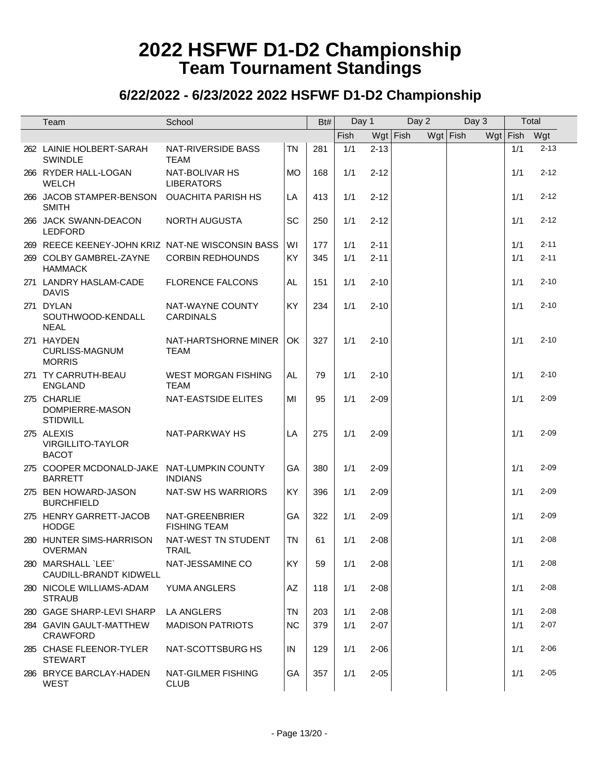| Team                                                          | School                                    |           | Bt# | Day 1 |            | Day 2 |  |            | Day 3 |            | Total    |
|---------------------------------------------------------------|-------------------------------------------|-----------|-----|-------|------------|-------|--|------------|-------|------------|----------|
|                                                               |                                           |           |     | Fish  | $Wgt$ Fish |       |  | $Wgt$ Fish |       | $Wgt$ Fish | Wgt      |
| 262 LAINIE HOLBERT-SARAH<br><b>SWINDLE</b>                    | <b>NAT-RIVERSIDE BASS</b><br><b>TEAM</b>  | TN        | 281 | 1/1   | $2 - 13$   |       |  |            |       | 1/1        | $2 - 13$ |
| 266 RYDER HALL-LOGAN<br><b>WELCH</b>                          | NAT-BOLIVAR HS<br><b>LIBERATORS</b>       | <b>MO</b> | 168 | 1/1   | $2 - 12$   |       |  |            |       | 1/1        | $2 - 12$ |
| 266 JACOB STAMPER-BENSON<br><b>SMITH</b>                      | <b>OUACHITA PARISH HS</b>                 | LA        | 413 | 1/1   | $2 - 12$   |       |  |            |       | 1/1        | $2 - 12$ |
| 266 JACK SWANN-DEACON<br><b>LEDFORD</b>                       | <b>NORTH AUGUSTA</b>                      | SC        | 250 | 1/1   | $2 - 12$   |       |  |            |       | 1/1        | $2 - 12$ |
| 269 REECE KEENEY-JOHN KRIZ NAT-NE WISCONSIN BASS              |                                           | WI        | 177 | 1/1   | $2 - 11$   |       |  |            |       | 1/1        | $2 - 11$ |
| 269 COLBY GAMBREL-ZAYNE<br><b>HAMMACK</b>                     | <b>CORBIN REDHOUNDS</b>                   | KY        | 345 | 1/1   | $2 - 11$   |       |  |            |       | 1/1        | $2 - 11$ |
| 271 LANDRY HASLAM-CADE<br><b>DAVIS</b>                        | <b>FLORENCE FALCONS</b>                   | AL        | 151 | 1/1   | $2 - 10$   |       |  |            |       | 1/1        | $2 - 10$ |
| 271 DYLAN<br>SOUTHWOOD-KENDALL<br><b>NEAL</b>                 | NAT-WAYNE COUNTY<br><b>CARDINALS</b>      | KY        | 234 | 1/1   | $2 - 10$   |       |  |            |       | 1/1        | $2 - 10$ |
| 271 HAYDEN<br><b>CURLISS-MAGNUM</b><br><b>MORRIS</b>          | NAT-HARTSHORNE MINER<br><b>TEAM</b>       | OK        | 327 | 1/1   | $2 - 10$   |       |  |            |       | 1/1        | $2 - 10$ |
| 271 TY CARRUTH-BEAU<br><b>ENGLAND</b>                         | <b>WEST MORGAN FISHING</b><br><b>TEAM</b> | AL        | 79  | 1/1   | $2 - 10$   |       |  |            |       | 1/1        | $2 - 10$ |
| 275 CHARLIE<br>DOMPIERRE-MASON<br><b>STIDWILL</b>             | NAT-EASTSIDE ELITES                       | MI        | 95  | 1/1   | $2 - 09$   |       |  |            |       | 1/1        | $2 - 09$ |
| 275 ALEXIS<br>VIRGILLITO-TAYLOR<br><b>BACOT</b>               | NAT-PARKWAY HS                            | LA        | 275 | 1/1   | $2 - 09$   |       |  |            |       | 1/1        | $2 - 09$ |
| 275 COOPER MCDONALD-JAKE NAT-LUMPKIN COUNTY<br><b>BARRETT</b> | <b>INDIANS</b>                            | GA        | 380 | 1/1   | $2 - 09$   |       |  |            |       | 1/1        | $2 - 09$ |
| 275 BEN HOWARD-JASON<br><b>BURCHFIELD</b>                     | NAT-SW HS WARRIORS                        | KY        | 396 | 1/1   | $2 - 09$   |       |  |            |       | 1/1        | $2 - 09$ |
| 275 HENRY GARRETT-JACOB<br><b>HODGE</b>                       | NAT-GREENBRIER<br><b>FISHING TEAM</b>     | GA        | 322 | 1/1   | $2 - 09$   |       |  |            |       | 1/1        | $2 - 09$ |
| 280 HUNTER SIMS-HARRISON<br><b>OVERMAN</b>                    | NAT-WEST TN STUDENT<br><b>TRAIL</b>       | <b>TN</b> | 61  | 1/1   | $2 - 08$   |       |  |            |       | 1/1        | $2 - 08$ |
| 280 MARSHALL `LEE`<br>CAUDILL-BRANDT KIDWELL                  | NAT-JESSAMINE CO                          | KY        | 59  | 1/1   | $2 - 08$   |       |  |            |       | 1/1        | $2 - 08$ |
| 280 NICOLE WILLIAMS-ADAM<br><b>STRAUB</b>                     | <b>YUMA ANGLERS</b>                       | AZ        | 118 | 1/1   | $2 - 08$   |       |  |            |       | 1/1        | $2 - 08$ |
| 280 GAGE SHARP-LEVI SHARP                                     | LA ANGLERS                                | ΤN        | 203 | 1/1   | $2 - 08$   |       |  |            |       | 1/1        | $2 - 08$ |
| 284 GAVIN GAULT-MATTHEW<br><b>CRAWFORD</b>                    | <b>MADISON PATRIOTS</b>                   | <b>NC</b> | 379 | 1/1   | $2 - 07$   |       |  |            |       | 1/1        | $2 - 07$ |
| 285 CHASE FLEENOR-TYLER<br><b>STEWART</b>                     | NAT-SCOTTSBURG HS                         | IN        | 129 | 1/1   | $2 - 06$   |       |  |            |       | 1/1        | $2 - 06$ |
| 286 BRYCE BARCLAY-HADEN<br><b>WEST</b>                        | NAT-GILMER FISHING<br><b>CLUB</b>         | GA        | 357 | 1/1   | $2 - 05$   |       |  |            |       | 1/1        | $2 - 05$ |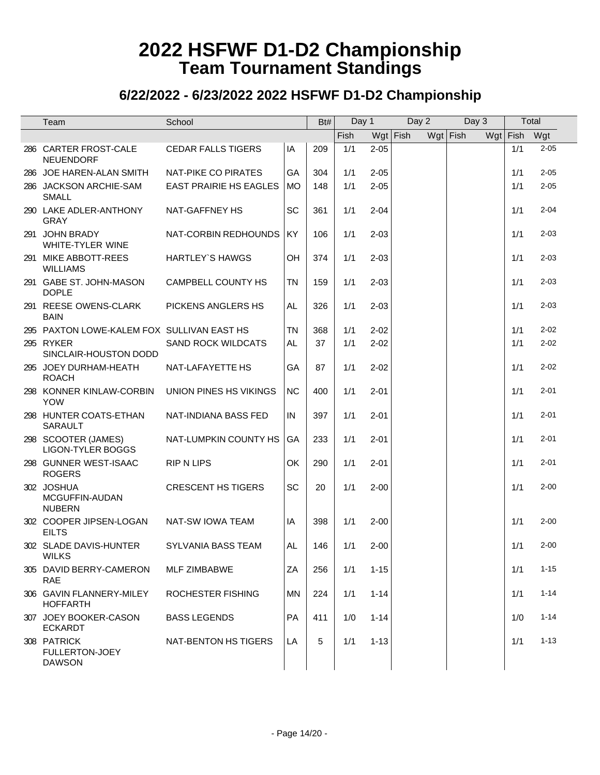| Team                                                  | School                        |           | Bt# | Day 1 |          | Day 2      |  | Day 3      |              | Total |          |
|-------------------------------------------------------|-------------------------------|-----------|-----|-------|----------|------------|--|------------|--------------|-------|----------|
|                                                       |                               |           |     | Fish  |          | $Wgt$ Fish |  | $Wgt$ Fish | Wgt Fish Wgt |       |          |
| 286 CARTER FROST-CALE<br><b>NEUENDORF</b>             | <b>CEDAR FALLS TIGERS</b>     | IA        | 209 | 1/1   | $2 - 05$ |            |  |            |              | 1/1   | $2 - 05$ |
| 286 JOE HAREN-ALAN SMITH                              | NAT-PIKE CO PIRATES           | GA        | 304 | 1/1   | $2 - 05$ |            |  |            |              | 1/1   | $2 - 05$ |
| 286 JACKSON ARCHIE-SAM<br><b>SMALL</b>                | <b>EAST PRAIRIE HS EAGLES</b> | <b>MO</b> | 148 | 1/1   | $2 - 05$ |            |  |            |              | 1/1   | $2 - 05$ |
| 290 LAKE ADLER-ANTHONY<br><b>GRAY</b>                 | NAT-GAFFNEY HS                | SC        | 361 | 1/1   | $2 - 04$ |            |  |            |              | 1/1   | $2 - 04$ |
| 291 JOHN BRADY<br>WHITE-TYLER WINE                    | NAT-CORBIN REDHOUNDS          | KY        | 106 | 1/1   | $2 - 03$ |            |  |            |              | 1/1   | $2 - 03$ |
| 291 MIKE ABBOTT-REES<br><b>WILLIAMS</b>               | <b>HARTLEY'S HAWGS</b>        | OH        | 374 | 1/1   | $2 - 03$ |            |  |            |              | 1/1   | $2 - 03$ |
| 291 GABE ST. JOHN-MASON<br><b>DOPLE</b>               | CAMPBELL COUNTY HS            | <b>TN</b> | 159 | 1/1   | $2 - 03$ |            |  |            |              | 1/1   | $2 - 03$ |
| 291 REESE OWENS-CLARK<br><b>BAIN</b>                  | PICKENS ANGLERS HS            | AL        | 326 | 1/1   | $2 - 03$ |            |  |            |              | 1/1   | $2 - 03$ |
| 295 PAXTON LOWE-KALEM FOX SULLIVAN EAST HS            |                               | <b>TN</b> | 368 | 1/1   | $2 - 02$ |            |  |            |              | 1/1   | $2 - 02$ |
| 295 RYKER<br>SINCLAIR-HOUSTON DODD                    | <b>SAND ROCK WILDCATS</b>     | AL        | 37  | 1/1   | $2 - 02$ |            |  |            |              | 1/1   | $2 - 02$ |
| 295 JOEY DURHAM-HEATH<br><b>ROACH</b>                 | NAT-LAFAYETTE HS              | GA        | 87  | 1/1   | $2 - 02$ |            |  |            |              | 1/1   | $2 - 02$ |
| 298 KONNER KINLAW-CORBIN<br><b>YOW</b>                | UNION PINES HS VIKINGS        | <b>NC</b> | 400 | 1/1   | $2 - 01$ |            |  |            |              | 1/1   | $2 - 01$ |
| 298 HUNTER COATS-ETHAN<br><b>SARAULT</b>              | NAT-INDIANA BASS FED          | IN        | 397 | 1/1   | $2 - 01$ |            |  |            |              | 1/1   | $2 - 01$ |
| 298 SCOOTER (JAMES)<br><b>LIGON-TYLER BOGGS</b>       | NAT-LUMPKIN COUNTY HS         | GA        | 233 | 1/1   | $2 - 01$ |            |  |            |              | 1/1   | $2 - 01$ |
| 298 GUNNER WEST-ISAAC<br><b>ROGERS</b>                | <b>RIP N LIPS</b>             | OK        | 290 | 1/1   | $2 - 01$ |            |  |            |              | 1/1   | $2 - 01$ |
| 302 JOSHUA<br>MCGUFFIN-AUDAN<br><b>NUBERN</b>         | <b>CRESCENT HS TIGERS</b>     | <b>SC</b> | 20  | 1/1   | $2 - 00$ |            |  |            |              | 1/1   | $2 - 00$ |
| 302 COOPER JIPSEN-LOGAN<br><b>EILTS</b>               | NAT-SW IOWA TEAM              | IA        | 398 | 1/1   | $2 - 00$ |            |  |            |              | 1/1   | $2 - 00$ |
| 302 SLADE DAVIS-HUNTER<br><b>WILKS</b>                | SYLVANIA BASS TEAM            | AL.       | 146 | 1/1   | $2 - 00$ |            |  |            |              | 1/1   | $2 - 00$ |
| 305 DAVID BERRY-CAMERON<br><b>RAE</b>                 | <b>MLF ZIMBABWE</b>           | ZA        | 256 | 1/1   | $1 - 15$ |            |  |            |              | 1/1   | $1 - 15$ |
| 306 GAVIN FLANNERY-MILEY<br><b>HOFFARTH</b>           | ROCHESTER FISHING             | <b>MN</b> | 224 | 1/1   | $1 - 14$ |            |  |            |              | 1/1   | $1 - 14$ |
| 307 JOEY BOOKER-CASON<br><b>ECKARDT</b>               | <b>BASS LEGENDS</b>           | <b>PA</b> | 411 | 1/0   | $1 - 14$ |            |  |            |              | 1/0   | $1 - 14$ |
| 308 PATRICK<br><b>FULLERTON-JOEY</b><br><b>DAWSON</b> | NAT-BENTON HS TIGERS          | LA        | 5   | 1/1   | $1 - 13$ |            |  |            |              | 1/1   | $1 - 13$ |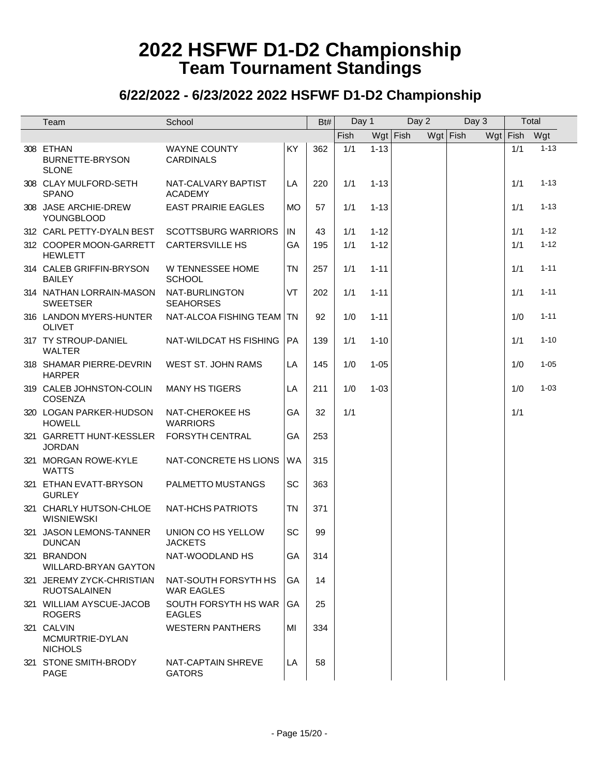|     | Team                                             | School                                    |           | Bt# | Day 1 |          | Day 2    |  | Day 3      |  | Total        |          |
|-----|--------------------------------------------------|-------------------------------------------|-----------|-----|-------|----------|----------|--|------------|--|--------------|----------|
|     |                                                  |                                           |           |     | Fish  |          | Wgt Fish |  | $Wgt$ Fish |  | Wgt Fish Wgt |          |
|     | 308 ETHAN<br>BURNETTE-BRYSON<br><b>SLONE</b>     | <b>WAYNE COUNTY</b><br><b>CARDINALS</b>   | KY        | 362 | 1/1   | $1 - 13$ |          |  |            |  | 1/1          | $1 - 13$ |
|     | 308 CLAY MULFORD-SETH<br><b>SPANO</b>            | NAT-CALVARY BAPTIST<br><b>ACADEMY</b>     | LA        | 220 | 1/1   | $1 - 13$ |          |  |            |  | 1/1          | $1 - 13$ |
|     | 308 JASE ARCHIE-DREW<br><b>YOUNGBLOOD</b>        | <b>EAST PRAIRIE EAGLES</b>                | <b>MO</b> | 57  | 1/1   | $1 - 13$ |          |  |            |  | 1/1          | $1 - 13$ |
|     | 312 CARL PETTY-DYALN BEST                        | <b>SCOTTSBURG WARRIORS</b>                | IN        | 43  | 1/1   | $1 - 12$ |          |  |            |  | 1/1          | $1 - 12$ |
|     | 312 COOPER MOON-GARRETT<br><b>HEWLETT</b>        | <b>CARTERSVILLE HS</b>                    | GA        | 195 | 1/1   | $1 - 12$ |          |  |            |  | 1/1          | $1 - 12$ |
|     | 314 CALEB GRIFFIN-BRYSON<br><b>BAILEY</b>        | W TENNESSEE HOME<br><b>SCHOOL</b>         | <b>TN</b> | 257 | 1/1   | $1 - 11$ |          |  |            |  | 1/1          | $1 - 11$ |
|     | 314 NATHAN LORRAIN-MASON<br><b>SWEETSER</b>      | NAT-BURLINGTON<br><b>SEAHORSES</b>        | VT        | 202 | 1/1   | $1 - 11$ |          |  |            |  | 1/1          | $1 - 11$ |
|     | 316 LANDON MYERS-HUNTER<br><b>OLIVET</b>         | NAT-ALCOA FISHING TEAM   TN               |           | 92  | 1/0   | $1 - 11$ |          |  |            |  | 1/0          | $1 - 11$ |
|     | 317 TY STROUP-DANIEL<br><b>WALTER</b>            | NAT-WILDCAT HS FISHING                    | PA        | 139 | 1/1   | $1 - 10$ |          |  |            |  | 1/1          | $1 - 10$ |
|     | 318 SHAMAR PIERRE-DEVRIN<br><b>HARPER</b>        | WEST ST. JOHN RAMS                        | LA        | 145 | 1/0   | $1 - 05$ |          |  |            |  | 1/0          | $1 - 05$ |
|     | 319 CALEB JOHNSTON-COLIN<br><b>COSENZA</b>       | <b>MANY HS TIGERS</b>                     | LA        | 211 | 1/0   | $1 - 03$ |          |  |            |  | 1/0          | $1 - 03$ |
|     | 320 LOGAN PARKER-HUDSON<br><b>HOWELL</b>         | NAT-CHEROKEE HS<br><b>WARRIORS</b>        | GA        | 32  | 1/1   |          |          |  |            |  | 1/1          |          |
|     | 321 GARRETT HUNT-KESSLER<br><b>JORDAN</b>        | FORSYTH CENTRAL                           | GA        | 253 |       |          |          |  |            |  |              |          |
|     | 321 MORGAN ROWE-KYLE<br><b>WATTS</b>             | NAT-CONCRETE HS LIONS                     | WA        | 315 |       |          |          |  |            |  |              |          |
|     | 321 ETHAN EVATT-BRYSON<br><b>GURLEY</b>          | PALMETTO MUSTANGS                         | SC        | 363 |       |          |          |  |            |  |              |          |
|     | 321 CHARLY HUTSON-CHLOE<br><b>WISNIEWSKI</b>     | NAT-HCHS PATRIOTS                         | <b>TN</b> | 371 |       |          |          |  |            |  |              |          |
| 321 | JASON LEMONS-TANNER<br><b>DUNCAN</b>             | UNION CO HS YELLOW<br><b>JACKETS</b>      | SC        | 99  |       |          |          |  |            |  |              |          |
|     | 321 BRANDON<br><b>WILLARD-BRYAN GAYTON</b>       | NAT-WOODLAND HS                           | GA        | 314 |       |          |          |  |            |  |              |          |
|     | 321 JEREMY ZYCK-CHRISTIAN<br><b>RUOTSALAINEN</b> | NAT-SOUTH FORSYTH HS<br><b>WAR EAGLES</b> | GA        | 14  |       |          |          |  |            |  |              |          |
|     | 321 WILLIAM AYSCUE-JACOB<br><b>ROGERS</b>        | SOUTH FORSYTH HS WAR<br><b>EAGLES</b>     | GA        | 25  |       |          |          |  |            |  |              |          |
|     | 321 CALVIN<br>MCMURTRIE-DYLAN<br><b>NICHOLS</b>  | <b>WESTERN PANTHERS</b>                   | MI        | 334 |       |          |          |  |            |  |              |          |
|     | 321 STONE SMITH-BRODY<br>PAGE                    | NAT-CAPTAIN SHREVE<br><b>GATORS</b>       | LA        | 58  |       |          |          |  |            |  |              |          |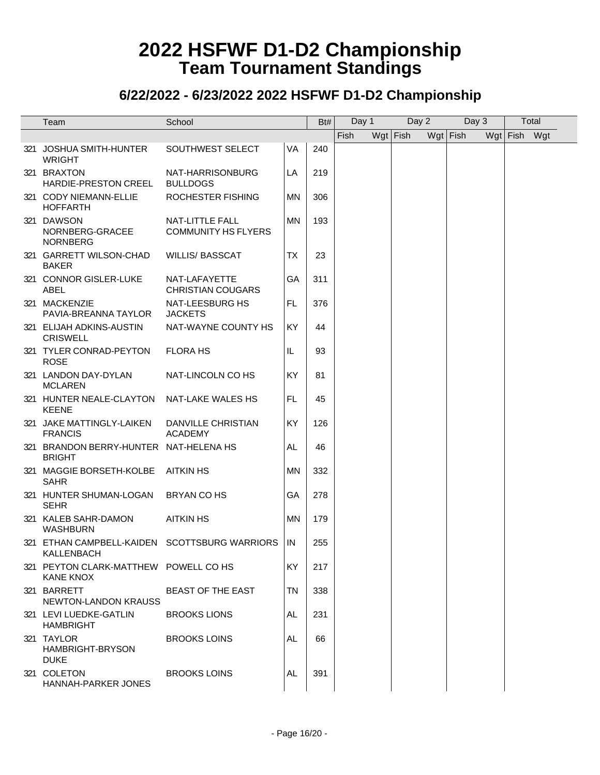| Team                                                        | School                                        |           | Bt# | Day 1 |            | Day 2 |            | Day 3 |              | Total |
|-------------------------------------------------------------|-----------------------------------------------|-----------|-----|-------|------------|-------|------------|-------|--------------|-------|
|                                                             |                                               |           |     | Fish  | $Wgt$ Fish |       | $Wgt$ Fish |       | Wgt Fish Wgt |       |
| 321 JOSHUA SMITH-HUNTER<br><b>WRIGHT</b>                    | SOUTHWEST SELECT                              | VA        | 240 |       |            |       |            |       |              |       |
| 321 BRAXTON<br><b>HARDIE-PRESTON CREEL</b>                  | NAT-HARRISONBURG<br><b>BULLDOGS</b>           | LA        | 219 |       |            |       |            |       |              |       |
| 321 CODY NIEMANN-ELLIE<br><b>HOFFARTH</b>                   | ROCHESTER FISHING                             | MN        | 306 |       |            |       |            |       |              |       |
| 321 DAWSON<br>NORNBERG-GRACEE<br><b>NORNBERG</b>            | NAT-LITTLE FALL<br><b>COMMUNITY HS FLYERS</b> | MN        | 193 |       |            |       |            |       |              |       |
| 321 GARRETT WILSON-CHAD<br>BAKER                            | <b>WILLIS/ BASSCAT</b>                        | <b>TX</b> | 23  |       |            |       |            |       |              |       |
| 321 CONNOR GISLER-LUKE<br><b>ABEL</b>                       | NAT-LAFAYETTE<br><b>CHRISTIAN COUGARS</b>     | GA        | 311 |       |            |       |            |       |              |       |
| 321 MACKENZIE<br>PAVIA-BREANNA TAYLOR                       | NAT-LEESBURG HS<br><b>JACKETS</b>             | FL        | 376 |       |            |       |            |       |              |       |
| 321 ELIJAH ADKINS-AUSTIN<br><b>CRISWELL</b>                 | NAT-WAYNE COUNTY HS                           | <b>KY</b> | 44  |       |            |       |            |       |              |       |
| 321 TYLER CONRAD-PEYTON<br><b>ROSE</b>                      | <b>FLORA HS</b>                               | IL        | 93  |       |            |       |            |       |              |       |
| 321 LANDON DAY-DYLAN<br><b>MCLAREN</b>                      | NAT-LINCOLN CO HS                             | KY        | 81  |       |            |       |            |       |              |       |
| 321 HUNTER NEALE-CLAYTON NAT-LAKE WALES HS<br><b>KEENE</b>  |                                               | FL        | 45  |       |            |       |            |       |              |       |
| 321 JAKE MATTINGLY-LAIKEN<br><b>FRANCIS</b>                 | DANVILLE CHRISTIAN<br><b>ACADEMY</b>          | <b>KY</b> | 126 |       |            |       |            |       |              |       |
| 321 BRANDON BERRY-HUNTER NAT-HELENA HS<br><b>BRIGHT</b>     |                                               | AL        | 46  |       |            |       |            |       |              |       |
| 321 MAGGIE BORSETH-KOLBE<br><b>SAHR</b>                     | AITKIN HS                                     | MN        | 332 |       |            |       |            |       |              |       |
| 321 HUNTER SHUMAN-LOGAN<br><b>SEHR</b>                      | BRYAN CO HS                                   | GA        | 278 |       |            |       |            |       |              |       |
| 321 KALEB SAHR-DAMON<br><b>WASHBURN</b>                     | <b>AITKIN HS</b>                              | ΜN        | 179 |       |            |       |            |       |              |       |
| 321 ETHAN CAMPBELL-KAIDEN SCOTTSBURG WARRIORS<br>KALLENBACH |                                               | IN        | 255 |       |            |       |            |       |              |       |
| 321 PEYTON CLARK-MATTHEW POWELL CO HS<br><b>KANE KNOX</b>   |                                               | <b>KY</b> | 217 |       |            |       |            |       |              |       |
| 321 BARRETT<br><b>NEWTON-LANDON KRAUSS</b>                  | <b>BEAST OF THE EAST</b>                      | <b>TN</b> | 338 |       |            |       |            |       |              |       |
| 321 LEVI LUEDKE-GATLIN<br><b>HAMBRIGHT</b>                  | <b>BROOKS LIONS</b>                           | AL        | 231 |       |            |       |            |       |              |       |
| 321 TAYLOR<br>HAMBRIGHT-BRYSON<br><b>DUKE</b>               | <b>BROOKS LOINS</b>                           | AL        | 66  |       |            |       |            |       |              |       |
| 321 COLETON<br>HANNAH-PARKER JONES                          | <b>BROOKS LOINS</b>                           | AL        | 391 |       |            |       |            |       |              |       |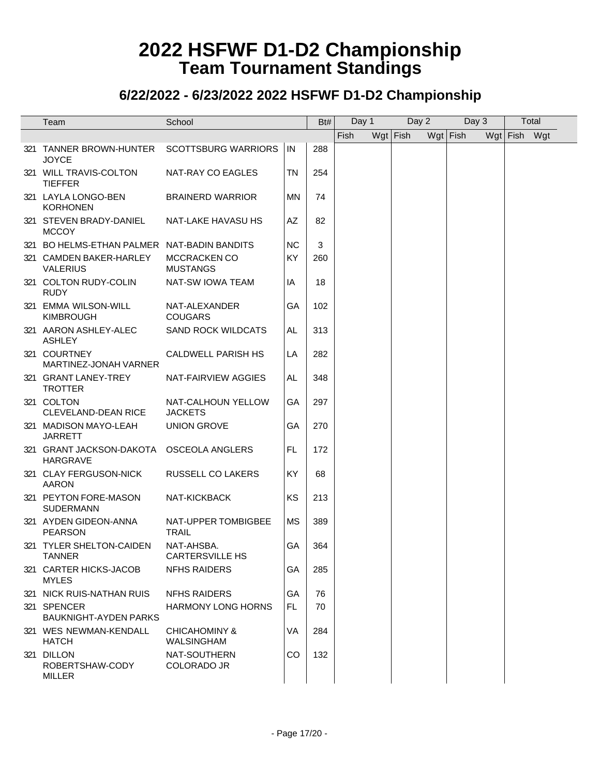| Team                                           | School                                 |           | Bt# | Day 1 |            | Day 2 |            | Day 3 |              | Total |  |
|------------------------------------------------|----------------------------------------|-----------|-----|-------|------------|-------|------------|-------|--------------|-------|--|
|                                                |                                        |           |     | Fish  | $Wgt$ Fish |       | $Wgt$ Fish |       | Wgt Fish Wgt |       |  |
| 321 TANNER BROWN-HUNTER<br><b>JOYCE</b>        | <b>SCOTTSBURG WARRIORS</b>             | IN        | 288 |       |            |       |            |       |              |       |  |
| 321 WILL TRAVIS-COLTON<br><b>TIEFFER</b>       | NAT-RAY CO EAGLES                      | TN        | 254 |       |            |       |            |       |              |       |  |
| 321 LAYLA LONGO-BEN<br><b>KORHONEN</b>         | <b>BRAINERD WARRIOR</b>                | <b>MN</b> | 74  |       |            |       |            |       |              |       |  |
| 321 STEVEN BRADY-DANIEL<br><b>MCCOY</b>        | NAT-LAKE HAVASU HS                     | AZ        | 82  |       |            |       |            |       |              |       |  |
| 321 BO HELMS-ETHAN PALMER NAT-BADIN BANDITS    |                                        | <b>NC</b> | 3   |       |            |       |            |       |              |       |  |
| 321 CAMDEN BAKER-HARLEY<br><b>VALERIUS</b>     | <b>MCCRACKEN CO</b><br><b>MUSTANGS</b> | KY        | 260 |       |            |       |            |       |              |       |  |
| 321 COLTON RUDY-COLIN<br><b>RUDY</b>           | NAT-SW IOWA TEAM                       | ΙA        | 18  |       |            |       |            |       |              |       |  |
| 321 EMMA WILSON-WILL<br><b>KIMBROUGH</b>       | NAT-ALEXANDER<br><b>COUGARS</b>        | GA        | 102 |       |            |       |            |       |              |       |  |
| 321 AARON ASHLEY-ALEC<br><b>ASHLEY</b>         | <b>SAND ROCK WILDCATS</b>              | AL        | 313 |       |            |       |            |       |              |       |  |
| 321 COURTNEY<br>MARTINEZ-JONAH VARNER          | <b>CALDWELL PARISH HS</b>              | LA        | 282 |       |            |       |            |       |              |       |  |
| 321 GRANT LANEY-TREY<br><b>TROTTER</b>         | NAT-FAIRVIEW AGGIES                    | AL        | 348 |       |            |       |            |       |              |       |  |
| 321 COLTON<br><b>CLEVELAND-DEAN RICE</b>       | NAT-CALHOUN YELLOW<br><b>JACKETS</b>   | GA        | 297 |       |            |       |            |       |              |       |  |
| 321 MADISON MAYO-LEAH<br><b>JARRETT</b>        | <b>UNION GROVE</b>                     | GA        | 270 |       |            |       |            |       |              |       |  |
| 321 GRANT JACKSON-DAKOTA<br><b>HARGRAVE</b>    | <b>OSCEOLA ANGLERS</b>                 | <b>FL</b> | 172 |       |            |       |            |       |              |       |  |
| 321 CLAY FERGUSON-NICK<br><b>AARON</b>         | RUSSELL CO LAKERS                      | <b>KY</b> | 68  |       |            |       |            |       |              |       |  |
| 321 PEYTON FORE-MASON<br><b>SUDERMANN</b>      | NAT-KICKBACK                           | KS        | 213 |       |            |       |            |       |              |       |  |
| 321 AYDEN GIDEON-ANNA<br><b>PEARSON</b>        | NAT-UPPER TOMBIGBEE<br><b>TRAIL</b>    | MS        | 389 |       |            |       |            |       |              |       |  |
| 321 TYLER SHELTON-CAIDEN<br><b>TANNER</b>      | NAT-AHSBA.<br><b>CARTERSVILLE HS</b>   | GA        | 364 |       |            |       |            |       |              |       |  |
| 321 CARTER HICKS-JACOB<br><b>MYLES</b>         | <b>NFHS RAIDERS</b>                    | GA        | 285 |       |            |       |            |       |              |       |  |
| 321 NICK RUIS-NATHAN RUIS                      | <b>NFHS RAIDERS</b>                    | GA        | 76  |       |            |       |            |       |              |       |  |
| 321 SPENCER<br><b>BAUKNIGHT-AYDEN PARKS</b>    | <b>HARMONY LONG HORNS</b>              | FL.       | 70  |       |            |       |            |       |              |       |  |
| 321 WES NEWMAN-KENDALL<br><b>HATCH</b>         | CHICAHOMINY &<br>WALSINGHAM            | <b>VA</b> | 284 |       |            |       |            |       |              |       |  |
| 321 DILLON<br>ROBERTSHAW-CODY<br><b>MILLER</b> | NAT-SOUTHERN<br>COLORADO JR            | CO        | 132 |       |            |       |            |       |              |       |  |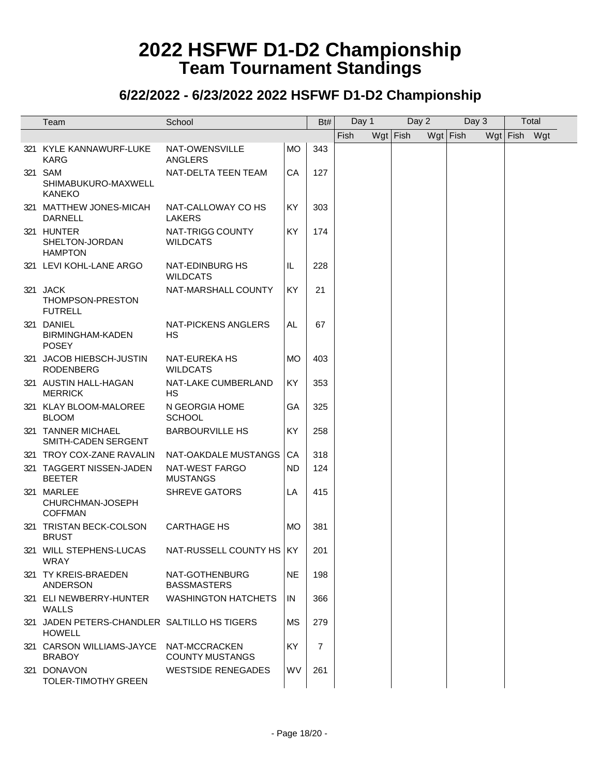| Team                                                          | School                                    |           | Bt#            | Day 1 |            | Day 2 |            | Day 3 |              | Total |  |
|---------------------------------------------------------------|-------------------------------------------|-----------|----------------|-------|------------|-------|------------|-------|--------------|-------|--|
|                                                               |                                           |           |                | Fish  | $Wgt$ Fish |       | $Wgt$ Fish |       | Wgt Fish Wgt |       |  |
| 321 KYLE KANNAWURF-LUKE<br><b>KARG</b>                        | NAT-OWENSVILLE<br>ANGLERS                 | <b>MO</b> | 343            |       |            |       |            |       |              |       |  |
| 321 SAM<br>SHIMABUKURO-MAXWELL<br><b>KANEKO</b>               | NAT-DELTA TEEN TEAM                       | CA        | 127            |       |            |       |            |       |              |       |  |
| 321 MATTHEW JONES-MICAH<br><b>DARNELL</b>                     | NAT-CALLOWAY CO HS<br>LAKERS              | KY        | 303            |       |            |       |            |       |              |       |  |
| 321 HUNTER<br>SHELTON-JORDAN<br><b>HAMPTON</b>                | NAT-TRIGG COUNTY<br><b>WILDCATS</b>       | <b>KY</b> | 174            |       |            |       |            |       |              |       |  |
| 321 LEVI KOHL-LANE ARGO                                       | <b>NAT-EDINBURG HS</b><br><b>WILDCATS</b> | IL        | 228            |       |            |       |            |       |              |       |  |
| 321 JACK<br>THOMPSON-PRESTON<br><b>FUTRELL</b>                | NAT-MARSHALL COUNTY                       | <b>KY</b> | 21             |       |            |       |            |       |              |       |  |
| 321 DANIEL<br>BIRMINGHAM-KADEN<br><b>POSEY</b>                | <b>NAT-PICKENS ANGLERS</b><br><b>HS</b>   | AL        | 67             |       |            |       |            |       |              |       |  |
| 321 JACOB HIEBSCH-JUSTIN<br><b>RODENBERG</b>                  | <b>NAT-EUREKA HS</b><br><b>WILDCATS</b>   | MO        | 403            |       |            |       |            |       |              |       |  |
| 321 AUSTIN HALL-HAGAN<br><b>MERRICK</b>                       | NAT-LAKE CUMBERLAND<br><b>HS</b>          | KY        | 353            |       |            |       |            |       |              |       |  |
| 321 KLAY BLOOM-MALOREE<br><b>BLOOM</b>                        | N GEORGIA HOME<br><b>SCHOOL</b>           | GA        | 325            |       |            |       |            |       |              |       |  |
| 321 TANNER MICHAEL<br>SMITH-CADEN SERGENT                     | <b>BARBOURVILLE HS</b>                    | KY        | 258            |       |            |       |            |       |              |       |  |
| 321 TROY COX-ZANE RAVALIN                                     | NAT-OAKDALE MUSTANGS                      | CA        | 318            |       |            |       |            |       |              |       |  |
| 321 TAGGERT NISSEN-JADEN<br><b>BEETER</b>                     | NAT-WEST FARGO<br><b>MUSTANGS</b>         | ND.       | 124            |       |            |       |            |       |              |       |  |
| 321 MARLEE<br>CHURCHMAN-JOSEPH<br><b>COFFMAN</b>              | <b>SHREVE GATORS</b>                      | LA        | 415            |       |            |       |            |       |              |       |  |
| 321 TRISTAN BECK-COLSON<br><b>BRUST</b>                       | <b>CARTHAGE HS</b>                        | <b>MO</b> | 381            |       |            |       |            |       |              |       |  |
| 321 WILL STEPHENS-LUCAS<br>WRAY                               | NAT-RUSSELL COUNTY HS KY                  |           | 201            |       |            |       |            |       |              |       |  |
| 321 TY KREIS-BRAEDEN<br><b>ANDERSON</b>                       | NAT-GOTHENBURG<br><b>BASSMASTERS</b>      | <b>NE</b> | 198            |       |            |       |            |       |              |       |  |
| 321 ELI NEWBERRY-HUNTER<br>WALLS                              | <b>WASHINGTON HATCHETS</b>                | IN        | 366            |       |            |       |            |       |              |       |  |
| 321 JADEN PETERS-CHANDLER SALTILLO HS TIGERS<br><b>HOWELL</b> |                                           | <b>MS</b> | 279            |       |            |       |            |       |              |       |  |
| 321 CARSON WILLIAMS-JAYCE NAT-MCCRACKEN<br><b>BRABOY</b>      | <b>COUNTY MUSTANGS</b>                    | <b>KY</b> | $\overline{7}$ |       |            |       |            |       |              |       |  |
| 321 DONAVON<br>TOLER-TIMOTHY GREEN                            | <b>WESTSIDE RENEGADES</b>                 | WV        | 261            |       |            |       |            |       |              |       |  |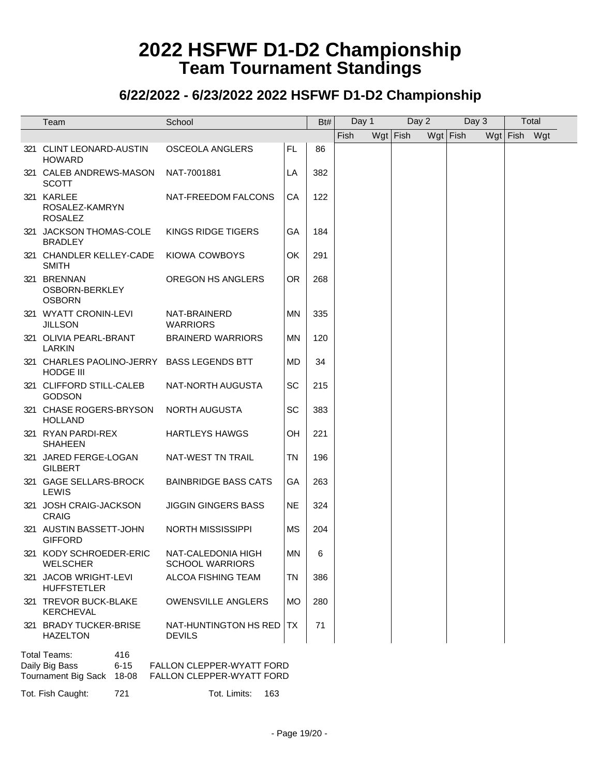#### **6/22/2022 - 6/23/2022 2022 HSFWF D1-D2 Championship**

| Team                                                                           | School                                                 |           | Bt# | Day 1 | Day 2      |          | Day 3 |              | Total |  |
|--------------------------------------------------------------------------------|--------------------------------------------------------|-----------|-----|-------|------------|----------|-------|--------------|-------|--|
|                                                                                |                                                        |           |     | Fish  | $Wgt$ Fish | Wgt Fish |       | Wgt Fish Wgt |       |  |
| 321 CLINT LEONARD-AUSTIN<br><b>HOWARD</b>                                      | <b>OSCEOLA ANGLERS</b>                                 | FL.       | 86  |       |            |          |       |              |       |  |
| 321 CALEB ANDREWS-MASON<br><b>SCOTT</b>                                        | NAT-7001881                                            | LA        | 382 |       |            |          |       |              |       |  |
| 321 KARLEE<br>ROSALEZ-KAMRYN<br><b>ROSALEZ</b>                                 | NAT-FREEDOM FALCONS                                    | CA        | 122 |       |            |          |       |              |       |  |
| 321 JACKSON THOMAS-COLE<br><b>BRADLEY</b>                                      | KINGS RIDGE TIGERS                                     | GA        | 184 |       |            |          |       |              |       |  |
| 321 CHANDLER KELLEY-CADE<br><b>SMITH</b>                                       | <b>KIOWA COWBOYS</b>                                   | OK        | 291 |       |            |          |       |              |       |  |
| 321 BRENNAN<br>OSBORN-BERKLEY<br><b>OSBORN</b>                                 | OREGON HS ANGLERS                                      | <b>OR</b> | 268 |       |            |          |       |              |       |  |
| 321 WYATT CRONIN-LEVI<br><b>JILLSON</b>                                        | NAT-BRAINERD<br><b>WARRIORS</b>                        | MN.       | 335 |       |            |          |       |              |       |  |
| 321 OLIVIA PEARL-BRANT<br><b>LARKIN</b>                                        | <b>BRAINERD WARRIORS</b>                               | ΜN        | 120 |       |            |          |       |              |       |  |
| 321 CHARLES PAOLINO-JERRY BASS LEGENDS BTT<br><b>HODGE III</b>                 |                                                        | MD        | 34  |       |            |          |       |              |       |  |
| 321 CLIFFORD STILL-CALEB<br><b>GODSON</b>                                      | NAT-NORTH AUGUSTA                                      | SC        | 215 |       |            |          |       |              |       |  |
| 321 CHASE ROGERS-BRYSON<br><b>HOLLAND</b>                                      | <b>NORTH AUGUSTA</b>                                   | SC        | 383 |       |            |          |       |              |       |  |
| 321 RYAN PARDI-REX<br><b>SHAHEEN</b>                                           | <b>HARTLEYS HAWGS</b>                                  | OН        | 221 |       |            |          |       |              |       |  |
| 321 JARED FERGE-LOGAN<br><b>GILBERT</b>                                        | NAT-WEST TN TRAIL                                      | <b>TN</b> | 196 |       |            |          |       |              |       |  |
| 321 GAGE SELLARS-BROCK<br>LEWIS                                                | <b>BAINBRIDGE BASS CATS</b>                            | GA        | 263 |       |            |          |       |              |       |  |
| 321 JOSH CRAIG-JACKSON<br><b>CRAIG</b>                                         | <b>JIGGIN GINGERS BASS</b>                             | <b>NE</b> | 324 |       |            |          |       |              |       |  |
| 321 AUSTIN BASSETT-JOHN<br><b>GIFFORD</b>                                      | <b>NORTH MISSISSIPPI</b>                               | <b>MS</b> | 204 |       |            |          |       |              |       |  |
| 321 KODY SCHROEDER-ERIC<br><b>WELSCHER</b>                                     | NAT-CALEDONIA HIGH<br><b>SCHOOL WARRIORS</b>           | MN        | 6   |       |            |          |       |              |       |  |
| 321 JACOB WRIGHT-LEVI<br><b>HUFFSTETLER</b>                                    | ALCOA FISHING TEAM                                     | TN        | 386 |       |            |          |       |              |       |  |
| 321 TREVOR BUCK-BLAKE<br>KERCHEVAL                                             | <b>OWENSVILLE ANGLERS</b>                              | <b>MO</b> | 280 |       |            |          |       |              |       |  |
| 321 BRADY TUCKER-BRISE<br><b>HAZELTON</b>                                      | NAT-HUNTINGTON HS RED<br><b>DEVILS</b>                 | TX.       | 71  |       |            |          |       |              |       |  |
| Total Teams:<br>416<br>Daily Big Bass<br>$6 - 15$<br>Tournament Big Sack 18-08 | FALLON CLEPPER-WYATT FORD<br>FALLON CLEPPER-WYATT FORD |           |     |       |            |          |       |              |       |  |

Tot. Fish Caught: 721 Tot. Limits: 163